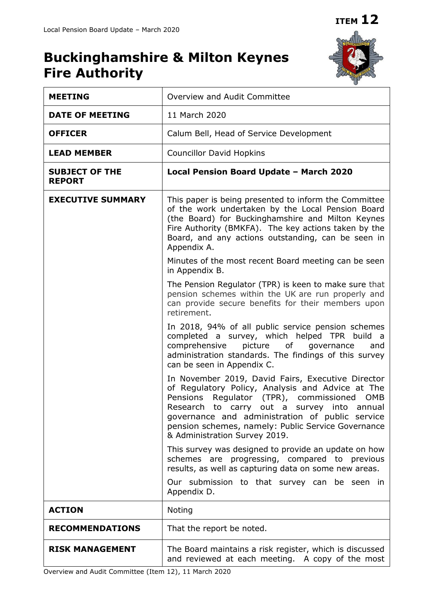

| <b>MEETING</b>                         | Overview and Audit Committee                                                                                                                                                                                                                                                                                                                |  |  |  |
|----------------------------------------|---------------------------------------------------------------------------------------------------------------------------------------------------------------------------------------------------------------------------------------------------------------------------------------------------------------------------------------------|--|--|--|
| <b>DATE OF MEETING</b>                 | 11 March 2020                                                                                                                                                                                                                                                                                                                               |  |  |  |
| <b>OFFICER</b>                         | Calum Bell, Head of Service Development                                                                                                                                                                                                                                                                                                     |  |  |  |
| <b>LEAD MEMBER</b>                     | <b>Councillor David Hopkins</b>                                                                                                                                                                                                                                                                                                             |  |  |  |
| <b>SUBJECT OF THE</b><br><b>REPORT</b> | Local Pension Board Update - March 2020                                                                                                                                                                                                                                                                                                     |  |  |  |
| <b>EXECUTIVE SUMMARY</b>               | This paper is being presented to inform the Committee<br>of the work undertaken by the Local Pension Board<br>(the Board) for Buckinghamshire and Milton Keynes<br>Fire Authority (BMKFA). The key actions taken by the<br>Board, and any actions outstanding, can be seen in<br>Appendix A.                                                |  |  |  |
|                                        | Minutes of the most recent Board meeting can be seen<br>in Appendix B.                                                                                                                                                                                                                                                                      |  |  |  |
|                                        | The Pension Regulator (TPR) is keen to make sure that<br>pension schemes within the UK are run properly and<br>can provide secure benefits for their members upon<br>retirement.                                                                                                                                                            |  |  |  |
|                                        | In 2018, 94% of all public service pension schemes<br>completed a survey, which helped TPR build a<br>comprehensive<br>picture of<br>governance<br>and<br>administration standards. The findings of this survey<br>can be seen in Appendix C.                                                                                               |  |  |  |
|                                        | In November 2019, David Fairs, Executive Director<br>of Regulatory Policy, Analysis and Advice at The<br>Pensions Regulator (TPR), commissioned OMB<br>Research to carry out a survey into annual<br>governance and administration of public service<br>pension schemes, namely: Public Service Governance<br>& Administration Survey 2019. |  |  |  |
|                                        | This survey was designed to provide an update on how<br>schemes are progressing, compared to previous<br>results, as well as capturing data on some new areas.                                                                                                                                                                              |  |  |  |
|                                        | Our submission to that survey can be seen in<br>Appendix D.                                                                                                                                                                                                                                                                                 |  |  |  |
| <b>ACTION</b>                          | <b>Noting</b>                                                                                                                                                                                                                                                                                                                               |  |  |  |
| <b>RECOMMENDATIONS</b>                 | That the report be noted.                                                                                                                                                                                                                                                                                                                   |  |  |  |
| <b>RISK MANAGEMENT</b>                 | The Board maintains a risk register, which is discussed<br>and reviewed at each meeting. A copy of the most                                                                                                                                                                                                                                 |  |  |  |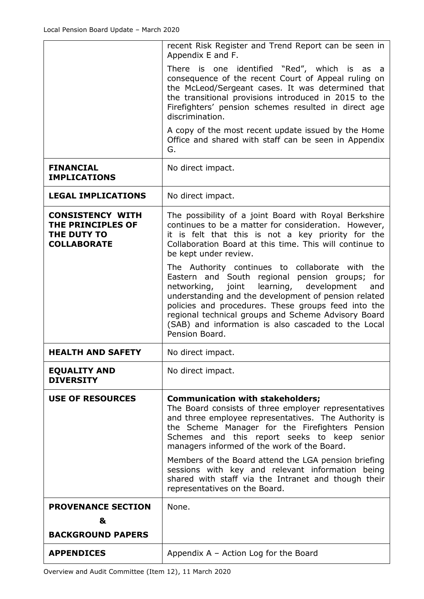|                                                                                   | recent Risk Register and Trend Report can be seen in<br>Appendix E and F.                                                                                                                                                                                                                                                                                                                                |
|-----------------------------------------------------------------------------------|----------------------------------------------------------------------------------------------------------------------------------------------------------------------------------------------------------------------------------------------------------------------------------------------------------------------------------------------------------------------------------------------------------|
|                                                                                   | There is one identified "Red", which is as a<br>consequence of the recent Court of Appeal ruling on<br>the McLeod/Sergeant cases. It was determined that<br>the transitional provisions introduced in 2015 to the<br>Firefighters' pension schemes resulted in direct age<br>discrimination.                                                                                                             |
|                                                                                   | A copy of the most recent update issued by the Home<br>Office and shared with staff can be seen in Appendix<br>G.                                                                                                                                                                                                                                                                                        |
| <b>FINANCIAL</b><br><b>IMPLICATIONS</b>                                           | No direct impact.                                                                                                                                                                                                                                                                                                                                                                                        |
| <b>LEGAL IMPLICATIONS</b>                                                         | No direct impact.                                                                                                                                                                                                                                                                                                                                                                                        |
| <b>CONSISTENCY WITH</b><br>THE PRINCIPLES OF<br>THE DUTY TO<br><b>COLLABORATE</b> | The possibility of a joint Board with Royal Berkshire<br>continues to be a matter for consideration. However,<br>it is felt that this is not a key priority for the<br>Collaboration Board at this time. This will continue to<br>be kept under review.                                                                                                                                                  |
|                                                                                   | The Authority continues to collaborate with<br>the<br>Eastern and South regional pension groups;<br>for<br>networking, joint learning, development<br>and<br>understanding and the development of pension related<br>policies and procedures. These groups feed into the<br>regional technical groups and Scheme Advisory Board<br>(SAB) and information is also cascaded to the Local<br>Pension Board. |
| <b>HEALTH AND SAFETY</b>                                                          | No direct impact.                                                                                                                                                                                                                                                                                                                                                                                        |
| <b>EQUALITY AND</b><br><b>DIVERSITY</b>                                           | No direct impact.                                                                                                                                                                                                                                                                                                                                                                                        |
| <b>USE OF RESOURCES</b>                                                           | <b>Communication with stakeholders;</b><br>The Board consists of three employer representatives<br>and three employee representatives. The Authority is<br>the Scheme Manager for the Firefighters Pension<br>Schemes and this report seeks to keep senior<br>managers informed of the work of the Board.                                                                                                |
|                                                                                   | Members of the Board attend the LGA pension briefing<br>sessions with key and relevant information being<br>shared with staff via the Intranet and though their<br>representatives on the Board.                                                                                                                                                                                                         |
| <b>PROVENANCE SECTION</b><br>&                                                    | None.                                                                                                                                                                                                                                                                                                                                                                                                    |
| <b>BACKGROUND PAPERS</b>                                                          |                                                                                                                                                                                                                                                                                                                                                                                                          |
| <b>APPENDICES</b>                                                                 | Appendix $A -$ Action Log for the Board                                                                                                                                                                                                                                                                                                                                                                  |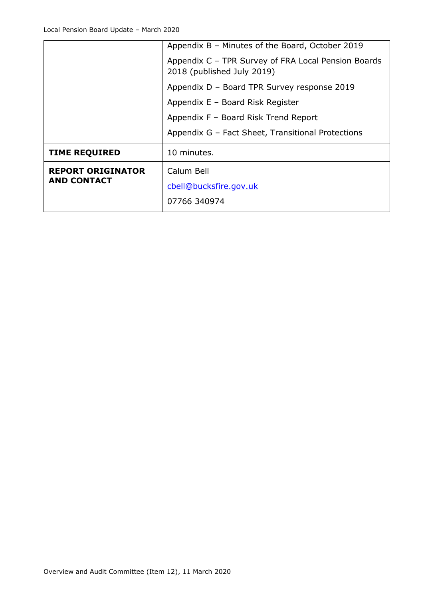|                          | Appendix B – Minutes of the Board, October 2019                                   |  |  |
|--------------------------|-----------------------------------------------------------------------------------|--|--|
|                          | Appendix C - TPR Survey of FRA Local Pension Boards<br>2018 (published July 2019) |  |  |
|                          | Appendix D - Board TPR Survey response 2019                                       |  |  |
|                          | Appendix E - Board Risk Register                                                  |  |  |
|                          | Appendix F - Board Risk Trend Report                                              |  |  |
|                          | Appendix G – Fact Sheet, Transitional Protections                                 |  |  |
| <b>TIME REQUIRED</b>     | 10 minutes.                                                                       |  |  |
| <b>REPORT ORIGINATOR</b> | Calum Bell                                                                        |  |  |
| <b>AND CONTACT</b>       | cbell@bucksfire.gov.uk                                                            |  |  |
|                          | 07766 340974                                                                      |  |  |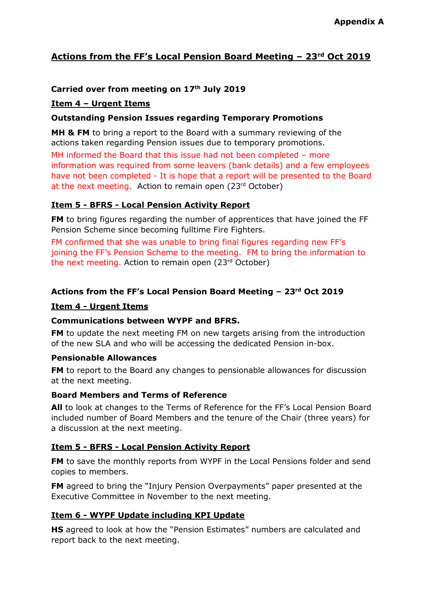# **Actions from the FF's Local Pension Board Meeting – 23rd Oct 2019**

# **Carried over from meeting on 17th July 2019**

# **Item 4 – Urgent Items**

# **Outstanding Pension Issues regarding Temporary Promotions**

**MH & FM** to bring a report to the Board with a summary reviewing of the actions taken regarding Pension issues due to temporary promotions.

MH informed the Board that this issue had not been completed – more information was required from some leavers (bank details) and a few employees have not been completed - It is hope that a report will be presented to the Board at the next meeting. Action to remain open (23rd October)

# **Item 5 - BFRS - Local Pension Activity Report**

**FM** to bring figures regarding the number of apprentices that have joined the FF Pension Scheme since becoming fulltime Fire Fighters.

FM confirmed that she was unable to bring final figures regarding new FF's joining the FF's Pension Scheme to the meeting. FM to bring the information to the next meeting. Action to remain open (23rd October)

# **Actions from the FF's Local Pension Board Meeting – 23rd Oct 2019**

# **Item 4 - Urgent Items**

# **Communications between WYPF and BFRS.**

**FM** to update the next meeting FM on new targets arising from the introduction of the new SLA and who will be accessing the dedicated Pension in-box.

# **Pensionable Allowances**

**FM** to report to the Board any changes to pensionable allowances for discussion at the next meeting.

# **Board Members and Terms of Reference**

**All** to look at changes to the Terms of Reference for the FF's Local Pension Board included number of Board Members and the tenure of the Chair (three years) for a discussion at the next meeting.

# **Item 5 - BFRS - Local Pension Activity Report**

**FM** to save the monthly reports from WYPF in the Local Pensions folder and send copies to members.

**FM** agreed to bring the "Injury Pension Overpayments" paper presented at the Executive Committee in November to the next meeting.

# **Item 6 - WYPF Update including KPI Update**

**HS** agreed to look at how the "Pension Estimates" numbers are calculated and report back to the next meeting.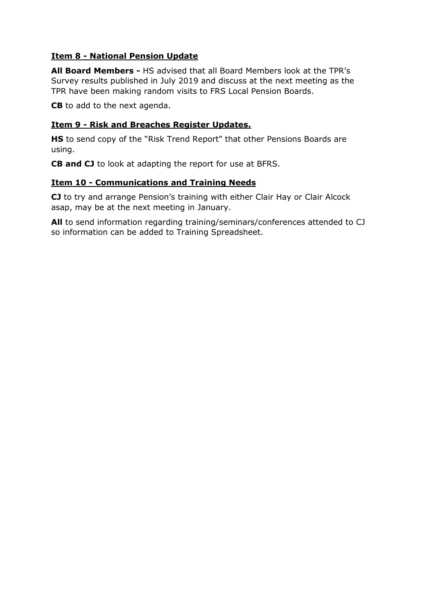# **Item 8 - National Pension Update**

**All Board Members -** HS advised that all Board Members look at the TPR's Survey results published in July 2019 and discuss at the next meeting as the TPR have been making random visits to FRS Local Pension Boards.

**CB** to add to the next agenda.

# **Item 9 - Risk and Breaches Register Updates.**

**HS** to send copy of the "Risk Trend Report" that other Pensions Boards are using.

**CB and CJ** to look at adapting the report for use at BFRS.

# **Item 10 - Communications and Training Needs**

**CJ** to try and arrange Pension's training with either Clair Hay or Clair Alcock asap, may be at the next meeting in January.

**All** to send information regarding training/seminars/conferences attended to CJ so information can be added to Training Spreadsheet.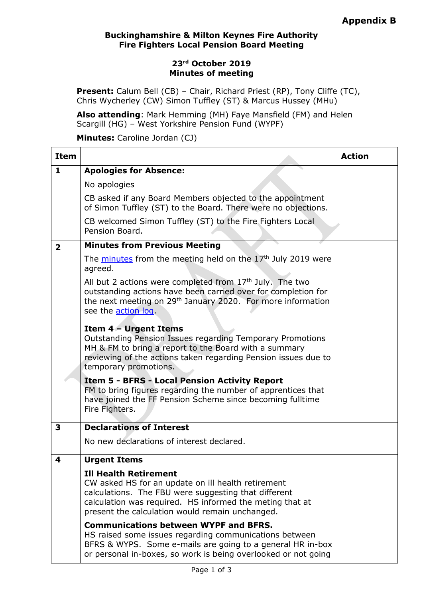# **Buckinghamshire & Milton Keynes Fire Authority Fire Fighters Local Pension Board Meeting**

# **23rd October 2019 Minutes of meeting**

**Present:** Calum Bell (CB) - Chair, Richard Priest (RP), Tony Cliffe (TC), Chris Wycherley (CW) Simon Tuffley (ST) & Marcus Hussey (MHu)

**Also attending**: Mark Hemming (MH) Faye Mansfield (FM) and Helen Scargill (HG) – West Yorkshire Pension Fund (WYPF)

**Minutes:** Caroline Jordan (CJ)

| <b>Item</b>             |                                                                                                                                                                                                                                                           | <b>Action</b> |
|-------------------------|-----------------------------------------------------------------------------------------------------------------------------------------------------------------------------------------------------------------------------------------------------------|---------------|
| $\mathbf{1}$            | <b>Apologies for Absence:</b>                                                                                                                                                                                                                             |               |
|                         | No apologies                                                                                                                                                                                                                                              |               |
|                         | CB asked if any Board Members objected to the appointment<br>of Simon Tuffley (ST) to the Board. There were no objections.                                                                                                                                |               |
|                         | CB welcomed Simon Tuffley (ST) to the Fire Fighters Local<br>Pension Board.                                                                                                                                                                               |               |
| $\overline{\mathbf{2}}$ | <b>Minutes from Previous Meeting</b>                                                                                                                                                                                                                      |               |
|                         | The minutes from the meeting held on the 17 <sup>th</sup> July 2019 were<br>agreed.                                                                                                                                                                       |               |
|                         | All but 2 actions were completed from $17th$ July. The two<br>outstanding actions have been carried over for completion for<br>the next meeting on 29 <sup>th</sup> January 2020. For more information<br>see the action log.                             |               |
|                         | Item 4 - Urgent Items<br>Outstanding Pension Issues regarding Temporary Promotions<br>MH & FM to bring a report to the Board with a summary<br>reviewing of the actions taken regarding Pension issues due to<br>temporary promotions.                    |               |
|                         | <b>Item 5 - BFRS - Local Pension Activity Report</b><br>FM to bring figures regarding the number of apprentices that<br>have joined the FF Pension Scheme since becoming fulltime<br>Fire Fighters.                                                       |               |
| 3                       | <b>Declarations of Interest</b>                                                                                                                                                                                                                           |               |
|                         | No new declarations of interest declared.                                                                                                                                                                                                                 |               |
| 4                       | <b>Urgent Items</b>                                                                                                                                                                                                                                       |               |
|                         | <b>Ill Health Retirement</b><br>CW asked HS for an update on ill health retirement<br>calculations. The FBU were suggesting that different<br>calculation was required. HS informed the meting that at<br>present the calculation would remain unchanged. |               |
|                         | <b>Communications between WYPF and BFRS.</b><br>HS raised some issues regarding communications between<br>BFRS & WYPS. Some e-mails are going to a general HR in-box<br>or personal in-boxes, so work is being overlooked or not going                    |               |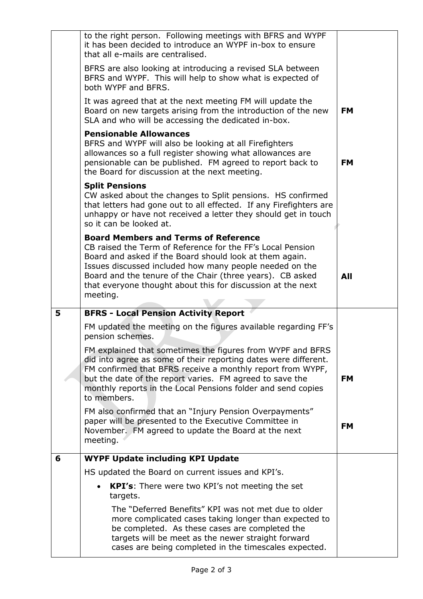|   | to the right person. Following meetings with BFRS and WYPF<br>it has been decided to introduce an WYPF in-box to ensure<br>that all e-mails are centralised.                                                                                                                                                                                                            |           |
|---|-------------------------------------------------------------------------------------------------------------------------------------------------------------------------------------------------------------------------------------------------------------------------------------------------------------------------------------------------------------------------|-----------|
|   | BFRS are also looking at introducing a revised SLA between<br>BFRS and WYPF. This will help to show what is expected of<br>both WYPF and BFRS.                                                                                                                                                                                                                          |           |
|   | It was agreed that at the next meeting FM will update the<br>Board on new targets arising from the introduction of the new<br>SLA and who will be accessing the dedicated in-box.                                                                                                                                                                                       | <b>FM</b> |
|   | <b>Pensionable Allowances</b><br>BFRS and WYPF will also be looking at all Firefighters<br>allowances so a full register showing what allowances are<br>pensionable can be published. FM agreed to report back to<br>the Board for discussion at the next meeting.                                                                                                      | <b>FM</b> |
|   | <b>Split Pensions</b><br>CW asked about the changes to Split pensions. HS confirmed<br>that letters had gone out to all effected. If any Firefighters are<br>unhappy or have not received a letter they should get in touch<br>so it can be looked at.                                                                                                                  |           |
|   | <b>Board Members and Terms of Reference</b><br>CB raised the Term of Reference for the FF's Local Pension<br>Board and asked if the Board should look at them again.<br>Issues discussed included how many people needed on the<br>Board and the tenure of the Chair (three years). CB asked<br>that everyone thought about this for discussion at the next<br>meeting. | All       |
| 5 | <b>BFRS - Local Pension Activity Report</b>                                                                                                                                                                                                                                                                                                                             |           |
|   | FM updated the meeting on the figures available regarding FF's<br>pension schemes.                                                                                                                                                                                                                                                                                      |           |
|   | FM explained that sometimes the figures from WYPF and BFRS<br>did into agree as some of their reporting dates were different.<br>FM confirmed that BFRS receive a monthly report from WYPF,<br>but the date of the report varies. FM agreed to save the<br>monthly reports in the Local Pensions folder and send copies<br>to members.                                  | <b>FM</b> |
|   | FM also confirmed that an "Injury Pension Overpayments"<br>paper will be presented to the Executive Committee in<br>November. FM agreed to update the Board at the next<br>meeting.                                                                                                                                                                                     | <b>FM</b> |
| 6 | <b>WYPF Update including KPI Update</b>                                                                                                                                                                                                                                                                                                                                 |           |
|   | HS updated the Board on current issues and KPI's.                                                                                                                                                                                                                                                                                                                       |           |
|   | <b>KPI's:</b> There were two KPI's not meeting the set<br>targets.                                                                                                                                                                                                                                                                                                      |           |
|   | The "Deferred Benefits" KPI was not met due to older<br>more complicated cases taking longer than expected to<br>be completed. As these cases are completed the<br>targets will be meet as the newer straight forward<br>cases are being completed in the timescales expected.                                                                                          |           |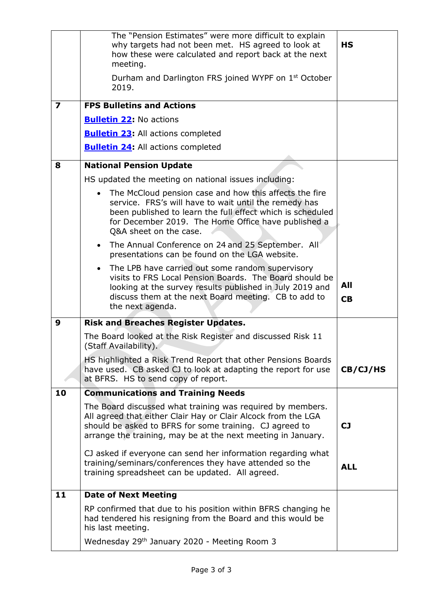|                         | The "Pension Estimates" were more difficult to explain<br>why targets had not been met. HS agreed to look at<br>how these were calculated and report back at the next<br>meeting.                                                                                | <b>HS</b>        |
|-------------------------|------------------------------------------------------------------------------------------------------------------------------------------------------------------------------------------------------------------------------------------------------------------|------------------|
|                         | Durham and Darlington FRS joined WYPF on 1 <sup>st</sup> October<br>2019.                                                                                                                                                                                        |                  |
| $\overline{\mathbf{z}}$ | <b>FPS Bulletins and Actions</b>                                                                                                                                                                                                                                 |                  |
|                         | <b>Bulletin 22:</b> No actions                                                                                                                                                                                                                                   |                  |
|                         | <b>Bulletin 23:</b> All actions completed                                                                                                                                                                                                                        |                  |
|                         | <b>Bulletin 24:</b> All actions completed                                                                                                                                                                                                                        |                  |
| 8                       | <b>National Pension Update</b>                                                                                                                                                                                                                                   |                  |
|                         | HS updated the meeting on national issues including:                                                                                                                                                                                                             |                  |
|                         | The McCloud pension case and how this affects the fire<br>service. FRS's will have to wait until the remedy has<br>been published to learn the full effect which is scheduled<br>for December 2019. The Home Office have published a<br>Q&A sheet on the case.   |                  |
|                         | The Annual Conference on 24 and 25 September. All<br>$\bullet$<br>presentations can be found on the LGA website.                                                                                                                                                 |                  |
|                         | The LPB have carried out some random supervisory<br>$\bullet$<br>visits to FRS Local Pension Boards. The Board should be<br>looking at the survey results published in July 2019 and<br>discuss them at the next Board meeting. CB to add to<br>the next agenda. | All<br><b>CB</b> |
| 9                       | <b>Risk and Breaches Register Updates.</b>                                                                                                                                                                                                                       |                  |
|                         | The Board looked at the Risk Register and discussed Risk 11<br>(Staff Availability).                                                                                                                                                                             |                  |
|                         | HS highlighted a Risk Trend Report that other Pensions Boards<br>have used. CB asked CJ to look at adapting the report for use<br>at BFRS. HS to send copy of report.                                                                                            | CB/CJ/HS         |
| 10                      | <b>Communications and Training Needs</b>                                                                                                                                                                                                                         |                  |
|                         | The Board discussed what training was required by members.<br>All agreed that either Clair Hay or Clair Alcock from the LGA<br>should be asked to BFRS for some training. CJ agreed to<br>arrange the training, may be at the next meeting in January.           | <b>CJ</b>        |
|                         | CJ asked if everyone can send her information regarding what<br>training/seminars/conferences they have attended so the<br>training spreadsheet can be updated. All agreed.                                                                                      | <b>ALL</b>       |
| 11                      | <b>Date of Next Meeting</b>                                                                                                                                                                                                                                      |                  |
|                         | RP confirmed that due to his position within BFRS changing he<br>had tendered his resigning from the Board and this would be<br>his last meeting.                                                                                                                |                  |
|                         | Wednesday 29th January 2020 - Meeting Room 3                                                                                                                                                                                                                     |                  |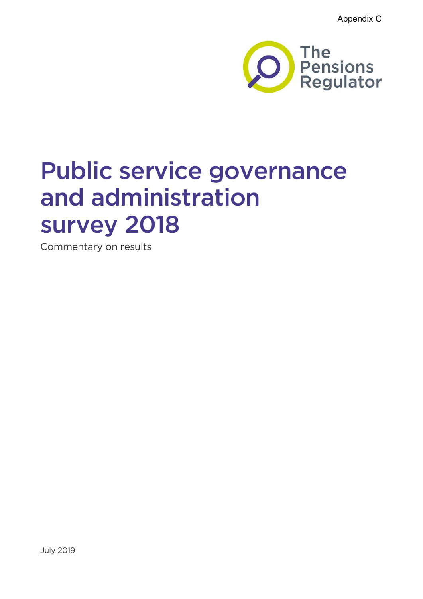Appendix C



# Public service governance and administration survey 2018

Commentary on results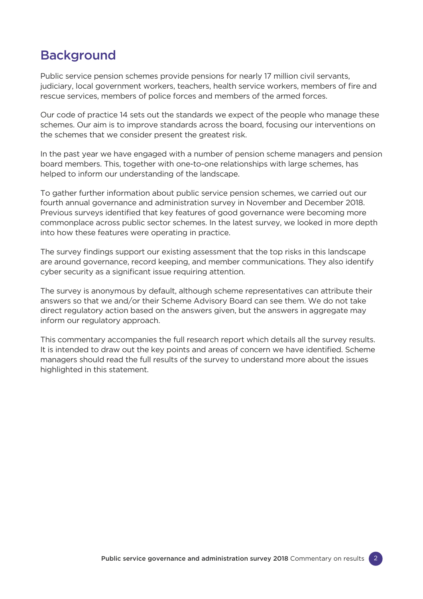# Background

Public service pension schemes provide pensions for nearly 17 million civil servants, judiciary, local government workers, teachers, health service workers, members of fire and rescue services, members of police forces and members of the armed forces.

Our code of practice 14 sets out the standards we expect of the people who manage these schemes. Our aim is to improve standards across the board, focusing our interventions on the schemes that we consider present the greatest risk.

In the past year we have engaged with a number of pension scheme managers and pension board members. This, together with one-to-one relationships with large schemes, has helped to inform our understanding of the landscape.

To gather further information about public service pension schemes, we carried out our fourth annual governance and administration survey in November and December 2018. Previous surveys identified that key features of good governance were becoming more commonplace across public sector schemes. In the latest survey, we looked in more depth into how these features were operating in practice.

The survey findings support our existing assessment that the top risks in this landscape are around governance, record keeping, and member communications. They also identify cyber security as a significant issue requiring attention.

The survey is anonymous by default, although scheme representatives can attribute their answers so that we and/or their Scheme Advisory Board can see them. We do not take direct regulatory action based on the answers given, but the answers in aggregate may inform our regulatory approach.

This commentary accompanies the full research report which details all the survey results. It is intended to draw out the key points and areas of concern we have identified. Scheme managers should read the full results of the survey to understand more about the issues highlighted in this statement.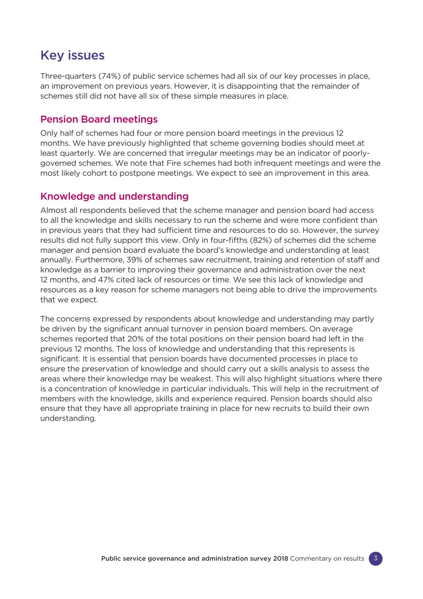# Key issues

Three-quarters (74%) of public service schemes had all six of our key processes in place, an improvement on previous years. However, it is disappointing that the remainder of schemes still did not have all six of these simple measures in place.

# Pension Board meetings

Only half of schemes had four or more pension board meetings in the previous 12 months. We have previously highlighted that scheme governing bodies should meet at least quarterly. We are concerned that irregular meetings may be an indicator of poorlygoverned schemes. We note that Fire schemes had both infrequent meetings and were the most likely cohort to postpone meetings. We expect to see an improvement in this area.

# Knowledge and understanding

Almost all respondents believed that the scheme manager and pension board had access to all the knowledge and skills necessary to run the scheme and were more confident than in previous years that they had sufficient time and resources to do so. However, the survey results did not fully support this view. Only in four-fifths (82%) of schemes did the scheme manager and pension board evaluate the board's knowledge and understanding at least annually. Furthermore, 39% of schemes saw recruitment, training and retention of staff and knowledge as a barrier to improving their governance and administration over the next 12 months, and 47% cited lack of resources or time. We see this lack of knowledge and resources as a key reason for scheme managers not being able to drive the improvements that we expect.

The concerns expressed by respondents about knowledge and understanding may partly be driven by the significant annual turnover in pension board members. On average schemes reported that 20% of the total positions on their pension board had left in the previous 12 months. The loss of knowledge and understanding that this represents is significant. It is essential that pension boards have documented processes in place to ensure the preservation of knowledge and should carry out a skills analysis to assess the areas where their knowledge may be weakest. This will also highlight situations where there is a concentration of knowledge in particular individuals. This will help in the recruitment of members with the knowledge, skills and experience required. Pension boards should also ensure that they have all appropriate training in place for new recruits to build their own understanding.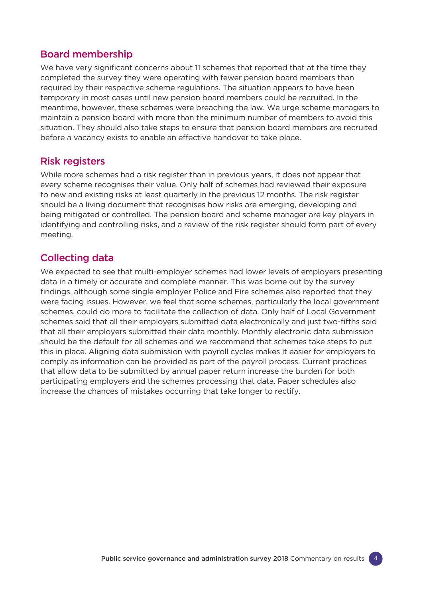# Board membership

We have very significant concerns about 11 schemes that reported that at the time they completed the survey they were operating with fewer pension board members than required by their respective scheme regulations. The situation appears to have been temporary in most cases until new pension board members could be recruited. In the meantime, however, these schemes were breaching the law. We urge scheme managers to maintain a pension board with more than the minimum number of members to avoid this situation. They should also take steps to ensure that pension board members are recruited before a vacancy exists to enable an effective handover to take place.

# Risk registers

While more schemes had a risk register than in previous years, it does not appear that every scheme recognises their value. Only half of schemes had reviewed their exposure to new and existing risks at least quarterly in the previous 12 months. The risk register should be a living document that recognises how risks are emerging, developing and being mitigated or controlled. The pension board and scheme manager are key players in identifying and controlling risks, and a review of the risk register should form part of every meeting.

# Collecting data

We expected to see that multi-employer schemes had lower levels of employers presenting data in a timely or accurate and complete manner. This was borne out by the survey findings, although some single employer Police and Fire schemes also reported that they were facing issues. However, we feel that some schemes, particularly the local government schemes, could do more to facilitate the collection of data. Only half of Local Government schemes said that all their employers submitted data electronically and just two-fifths said that all their employers submitted their data monthly. Monthly electronic data submission should be the default for all schemes and we recommend that schemes take steps to put this in place. Aligning data submission with payroll cycles makes it easier for employers to comply as information can be provided as part of the payroll process. Current practices that allow data to be submitted by annual paper return increase the burden for both participating employers and the schemes processing that data. Paper schedules also increase the chances of mistakes occurring that take longer to rectify.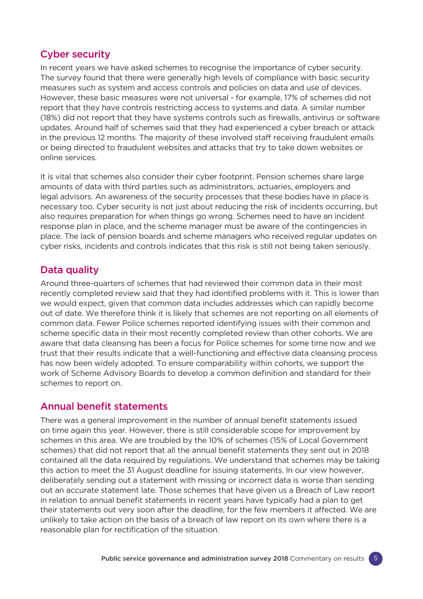# Cyber security

In recent years we have asked schemes to recognise the importance of cyber security. The survey found that there were generally high levels of compliance with basic security measures such as system and access controls and policies on data and use of devices. However, these basic measures were not universal - for example, 17% of schemes did not report that they have controls restricting access to systems and data. A similar number (18%) did not report that they have systems controls such as firewalls, antivirus or software updates. Around half of schemes said that they had experienced a cyber breach or attack in the previous 12 months. The majority of these involved staff receiving fraudulent emails or being directed to fraudulent websites and attacks that try to take down websites or online services.

It is vital that schemes also consider their cyber footprint. Pension schemes share large amounts of data with third parties such as administrators, actuaries, employers and legal advisors. An awareness of the security processes that these bodies have in place is necessary too. Cyber security is not just about reducing the risk of incidents occurring, but also requires preparation for when things go wrong. Schemes need to have an incident response plan in place, and the scheme manager must be aware of the contingencies in place. The lack of pension boards and scheme managers who received regular updates on cyber risks, incidents and controls indicates that this risk is still not being taken seriously.

# Data quality

Around three-quarters of schemes that had reviewed their common data in their most recently completed review said that they had identified problems with it. This is lower than we would expect, given that common data includes addresses which can rapidly become out of date. We therefore think it is likely that schemes are not reporting on all elements of common data. Fewer Police schemes reported identifying issues with their common and scheme specific data in their most recently completed review than other cohorts. We are aware that data cleansing has been a focus for Police schemes for some time now and we trust that their results indicate that a well-functioning and effective data cleansing process has now been widely adopted. To ensure comparability within cohorts, we support the work of Scheme Advisory Boards to develop a common definition and standard for their schemes to report on.

# Annual benefit statements

There was a general improvement in the number of annual benefit statements issued on time again this year. However, there is still considerable scope for improvement by schemes in this area. We are troubled by the 10% of schemes (15% of Local Government schemes) that did not report that all the annual benefit statements they sent out in 2018 contained all the data required by regulations. We understand that schemes may be taking this action to meet the 31 August deadline for issuing statements. In our view however, deliberately sending out a statement with missing or incorrect data is worse than sending out an accurate statement late. Those schemes that have given us a Breach of Law report in relation to annual benefit statements in recent years have typically had a plan to get their statements out very soon after the deadline, for the few members it affected. We are unlikely to take action on the basis of a breach of law report on its own where there is a reasonable plan for rectification of the situation.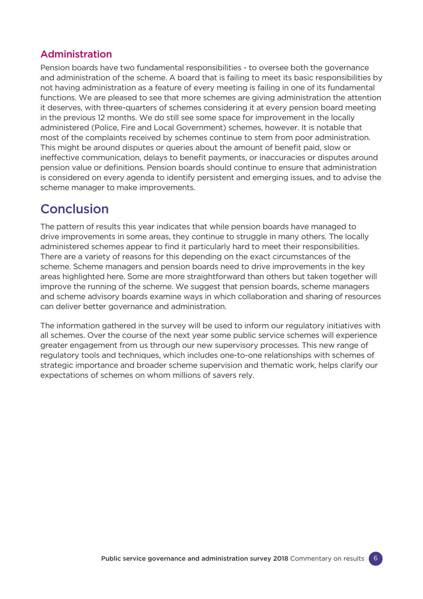# Administration

Pension boards have two fundamental responsibilities - to oversee both the governance and administration of the scheme. A board that is failing to meet its basic responsibilities by not having administration as a feature of every meeting is failing in one of its fundamental functions. We are pleased to see that more schemes are giving administration the attention it deserves, with three-quarters of schemes considering it at every pension board meeting in the previous 12 months. We do still see some space for improvement in the locally administered (Police, Fire and Local Government) schemes, however. It is notable that most of the complaints received by schemes continue to stem from poor administration. This might be around disputes or queries about the amount of benefit paid, slow or ineffective communication, delays to benefit payments, or inaccuracies or disputes around pension value or definitions. Pension boards should continue to ensure that administration is considered on every agenda to identify persistent and emerging issues, and to advise the scheme manager to make improvements.

# Conclusion

The pattern of results this year indicates that while pension boards have managed to drive improvements in some areas, they continue to struggle in many others. The locally administered schemes appear to find it particularly hard to meet their responsibilities. There are a variety of reasons for this depending on the exact circumstances of the scheme. Scheme managers and pension boards need to drive improvements in the key areas highlighted here. Some are more straightforward than others but taken together will improve the running of the scheme. We suggest that pension boards, scheme managers and scheme advisory boards examine ways in which collaboration and sharing of resources can deliver better governance and administration.

The information gathered in the survey will be used to inform our regulatory initiatives with all schemes. Over the course of the next year some public service schemes will experience greater engagement from us through our new supervisory processes. This new range of regulatory tools and techniques, which includes one-to-one relationships with schemes of strategic importance and broader scheme supervision and thematic work, helps clarify our expectations of schemes on whom millions of savers rely.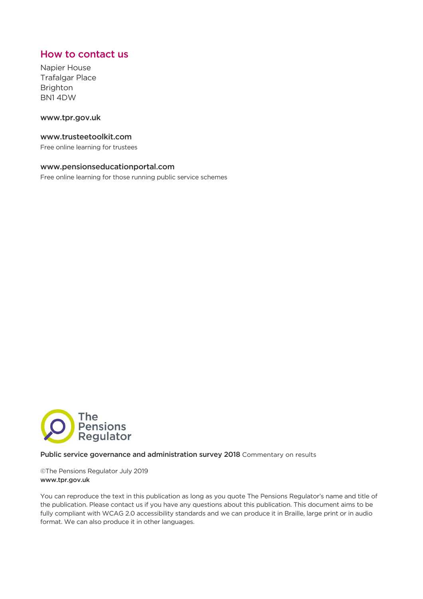# How to contact us

Napier House Trafalgar Place Brighton BN1 4DW

# www.tpr.gov.uk

# www.trusteetoolkit.com

Free online learning for trustees

# www.pensionseducationportal.com

Free online learning for those running public service schemes



#### Public service governance and administration survey 2018 Commentary on results

©The Pensions Regulator July 2019 www.tpr.gov.uk

You can reproduce the text in this publication as long as you quote The Pensions Regulator's name and title of the publication. Please contact us if you have any questions about this publication. This document aims to be fully compliant with WCAG 2.0 accessibility standards and we can produce it in Braille, large print or in audio format. We can also produce it in other languages.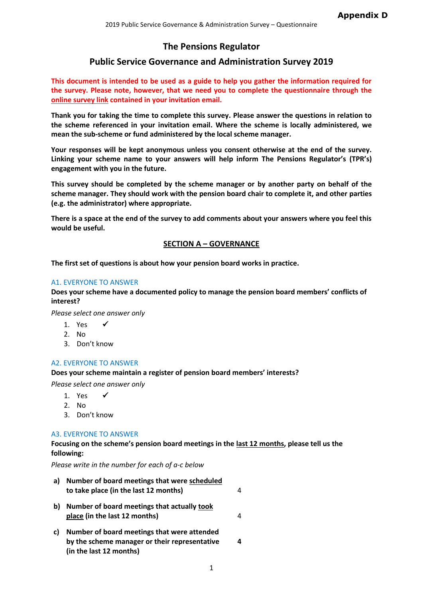# **The Pensions Regulator**

# **Public Service Governance and Administration Survey 2019**

**This document is intended to be used as a guide to help you gather the information required for the survey. Please note, however, that we need you to complete the questionnaire through the online survey link contained in your invitation email.**

**Thank you for taking the time to complete this survey. Please answer the questions in relation to the scheme referenced in your invitation email. Where the scheme is locally administered, we mean the sub-scheme or fund administered by the local scheme manager.** 

**Your responses will be kept anonymous unless you consent otherwise at the end of the survey. Linking your scheme name to your answers will help inform The Pensions Regulator's (TPR's) engagement with you in the future.**

**This survey should be completed by the scheme manager or by another party on behalf of the scheme manager. They should work with the pension board chair to complete it, and other parties (e.g. the administrator) where appropriate.**

**There is a space at the end of the survey to add comments about your answers where you feel this would be useful.**

# **SECTION A – GOVERNANCE**

**The first set of questions is about how your pension board works in practice.**

# A1. EVERYONE TO ANSWER

**Does your scheme have a documented policy to manage the pension board members' conflicts of interest?**

*Please select one answer only*

- 1. Yes  $\checkmark$
- 2. No
- 3. Don't know

# A2. EVERYONE TO ANSWER

**Does your scheme maintain a register of pension board members' interests?**

*Please select one answer only*

- 1. Yes  $\checkmark$
- 2. No
- 3. Don't know

# A3. EVERYONE TO ANSWER

**(in the last 12 months)**

**Focusing on the scheme's pension board meetings in the last 12 months, please tell us the following:**

*Please write in the number for each of a-c below*

| a) | Number of board meetings that were scheduled<br>to take place (in the last 12 months)        |  |
|----|----------------------------------------------------------------------------------------------|--|
| b) | Number of board meetings that actually took<br>place (in the last 12 months)                 |  |
| C) | Number of board meetings that were attended<br>by the scheme manager or their representative |  |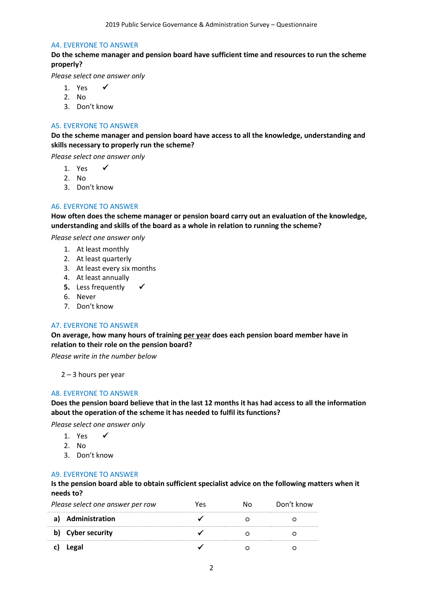#### A4. EVERYONE TO ANSWER

**Do the scheme manager and pension board have sufficient time and resources to run the scheme properly?**

*Please select one answer only*

- 1. Yes  $\checkmark$
- 2. No
- 3. Don't know

# A5. EVERYONE TO ANSWER

**Do the scheme manager and pension board have access to all the knowledge, understanding and skills necessary to properly run the scheme?**

*Please select one answer only*

- 1. Yes  $\checkmark$
- 2. No
- 3. Don't know

# A6. EVERYONE TO ANSWER

**How often does the scheme manager or pension board carry out an evaluation of the knowledge, understanding and skills of the board as a whole in relation to running the scheme?** 

*Please select one answer only*

- 1. At least monthly
- 2. At least quarterly
- 3. At least every six months
- 4. At least annually
- **5.** Less frequently
- 6. Never
- 7. Don't know

# A7. EVERYONE TO ANSWER

**On average, how many hours of training per year does each pension board member have in relation to their role on the pension board?**

*Please write in the number below*

2 – 3 hours per year

# A8. EVERYONE TO ANSWER

**Does the pension board believe that in the last 12 months it has had access to all the information about the operation of the scheme it has needed to fulfil its functions?**

*Please select one answer only*

- 1. Yes  $\checkmark$
- 2. No
- 3. Don't know

# A9. EVERYONE TO ANSWER

**Is the pension board able to obtain sufficient specialist advice on the following matters when it needs to?**

| Please select one answer per row |                       | YΑς | חו | Don't know |
|----------------------------------|-----------------------|-----|----|------------|
|                                  | Administration        |     |    |            |
|                                  | <b>Cyber security</b> |     |    |            |
|                                  | Legal                 |     |    |            |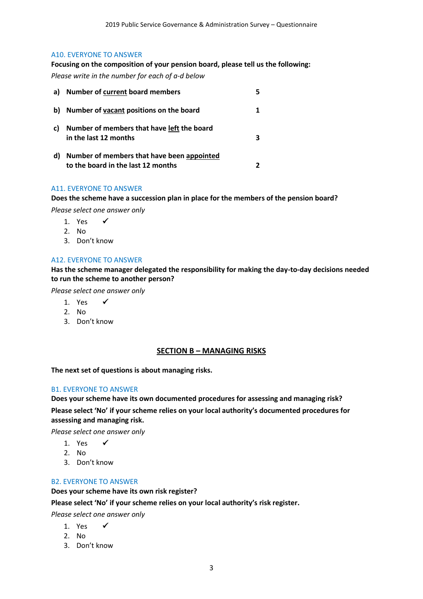#### A10. EVERYONE TO ANSWER

**Focusing on the composition of your pension board, please tell us the following:** *Please write in the number for each of a-d below*

| a) | <b>Number of current board members</b>                                           |  |
|----|----------------------------------------------------------------------------------|--|
| b) | Number of vacant positions on the board                                          |  |
| C) | Number of members that have left the board<br>in the last 12 months              |  |
| d) | Number of members that have been appointed<br>to the board in the last 12 months |  |

# A11. EVERYONE TO ANSWER

**Does the scheme have a succession plan in place for the members of the pension board?**

*Please select one answer only*

- 1. Yes  $\checkmark$
- 2. No
- 3. Don't know

# A12. EVERYONE TO ANSWER

**Has the scheme manager delegated the responsibility for making the day-to-day decisions needed to run the scheme to another person?**

*Please select one answer only*

- 1. Yes  $\checkmark$
- 2. No
- 3. Don't know

#### **SECTION B – MANAGING RISKS**

#### **The next set of questions is about managing risks.**

# B1. EVERYONE TO ANSWER

**Does your scheme have its own documented procedures for assessing and managing risk? Please select 'No' if your scheme relies on your local authority's documented procedures for assessing and managing risk.**

*Please select one answer only*

- 1. Yes  $\checkmark$
- 2. No
- 3. Don't know

#### B2. EVERYONE TO ANSWER

**Does your scheme have its own risk register?**

**Please select 'No' if your scheme relies on your local authority's risk register.**

*Please select one answer only*

- 1. Yes  $\checkmark$
- 2. No
- 3. Don't know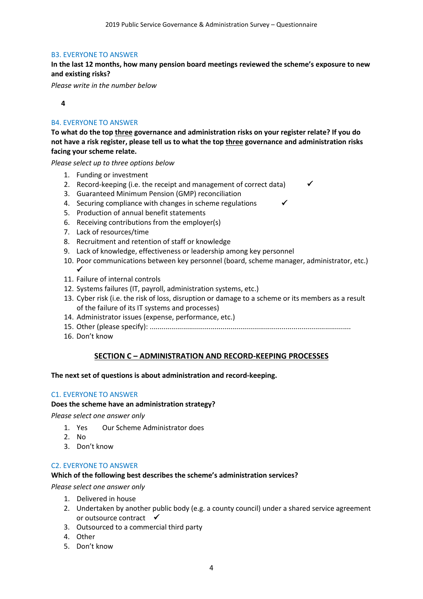# B3. EVERYONE TO ANSWER

**In the last 12 months, how many pension board meetings reviewed the scheme's exposure to new and existing risks?**

*Please write in the number below*

# **4**

# B4. EVERYONE TO ANSWER

**To what do the top three governance and administration risks on your register relate? If you do not have a risk register, please tell us to what the top three governance and administration risks facing your scheme relate.**

*Please select up to three options below*

- 1. Funding or investment
- 2. Record-keeping (i.e. the receipt and management of correct data)
- 3. Guaranteed Minimum Pension (GMP) reconciliation
- 4. Securing compliance with changes in scheme regulations
- 5. Production of annual benefit statements
- 6. Receiving contributions from the employer(s)
- 7. Lack of resources/time
- 8. Recruitment and retention of staff or knowledge
- 9. Lack of knowledge, effectiveness or leadership among key personnel
- 10. Poor communications between key personnel (board, scheme manager, administrator, etc.)  $\checkmark$
- 11. Failure of internal controls
- 12. Systems failures (IT, payroll, administration systems, etc.)
- 13. Cyber risk (i.e. the risk of loss, disruption or damage to a scheme or its members as a result of the failure of its IT systems and processes)
- 14. Administrator issues (expense, performance, etc.)
- 15. Other (please specify): ......................................................................................................
- 16. Don't know

# **SECTION C – ADMINISTRATION AND RECORD-KEEPING PROCESSES**

# **The next set of questions is about administration and record-keeping.**

# C1. EVERYONE TO ANSWER

# **Does the scheme have an administration strategy?**

*Please select one answer only*

- 1. Yes Our Scheme Administrator does
- 2. No
- 3. Don't know

# C2. EVERYONE TO ANSWER

# **Which of the following best describes the scheme's administration services?**

*Please select one answer only*

- 1. Delivered in house
- 2. Undertaken by another public body (e.g. a county council) under a shared service agreement or outsource contract  $\checkmark$
- 3. Outsourced to a commercial third party
- 4. Other
- 5. Don't know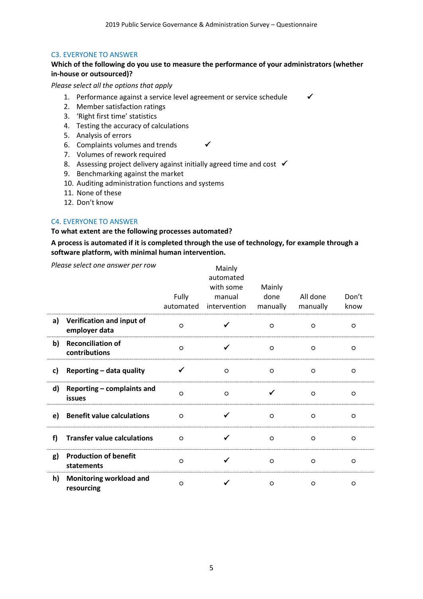# C3. EVERYONE TO ANSWER

# **Which of the following do you use to measure the performance of your administrators (whether in-house or outsourced)?**

*Please select all the options that apply*

- 1. Performance against a service level agreement or service schedule  $\checkmark$
- 2. Member satisfaction ratings
- 3. 'Right first time' statistics
- 4. Testing the accuracy of calculations
- 5. Analysis of errors
- 6. Complaints volumes and trends  $\checkmark$
- 7. Volumes of rework required
- 8. Assessing project delivery against initially agreed time and cost  $\checkmark$
- 9. Benchmarking against the market
- 10. Auditing administration functions and systems
- 11. None of these
- 12. Don't know

# C4. EVERYONE TO ANSWER

# **To what extent are the following processes automated?**

# **A process is automated if it is completed through the use of technology, for example through a software platform, with minimal human intervention.**

|    | Please select one answer per row            | Fully<br>automated | Mainly<br>automated<br>with some<br>manual<br>intervention | Mainly<br>done<br>manually | All done<br>manually | Don't<br>know |
|----|---------------------------------------------|--------------------|------------------------------------------------------------|----------------------------|----------------------|---------------|
| a) | Verification and input of<br>employer data  | $\circ$            |                                                            | $\circ$                    | $\circ$              | $\circ$       |
| b) | <b>Reconciliation of</b><br>contributions   | $\circ$            |                                                            | $\circ$                    | $\circ$              | $\circ$       |
| c) | Reporting - data quality                    |                    | $\circ$                                                    | $\circ$                    | $\circ$              | $\circ$       |
| d) | Reporting - complaints and<br><b>issues</b> | $\circ$            | $\circ$                                                    | ✔                          | $\circ$              | $\circ$       |
| e) | <b>Benefit value calculations</b>           | $\circ$            |                                                            | $\circ$                    | $\circ$              | $\circ$       |
| f) | <b>Transfer value calculations</b>          | $\circ$            |                                                            | $\circ$                    | $\circ$              | $\circ$       |
| g) | <b>Production of benefit</b><br>statements  | $\circ$            |                                                            | $\circ$                    | $\circ$              | $\circ$       |
| h) | Monitoring workload and<br>resourcing       | $\circ$            |                                                            | $\circ$                    | $\circ$              | $\circ$       |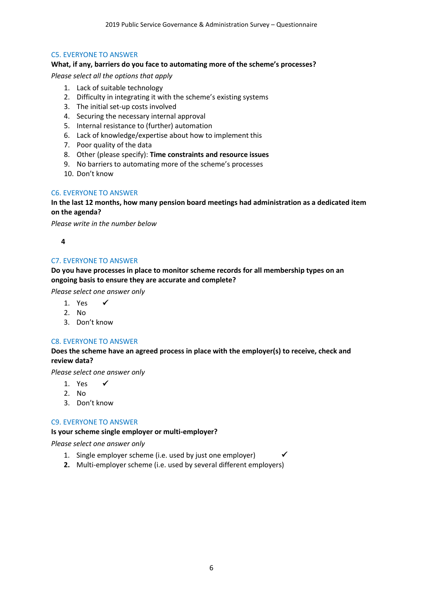# C5. EVERYONE TO ANSWER

# **What, if any, barriers do you face to automating more of the scheme's processes?**

*Please select all the options that apply*

- 1. Lack of suitable technology
- 2. Difficulty in integrating it with the scheme's existing systems
- 3. The initial set-up costs involved
- 4. Securing the necessary internal approval
- 5. Internal resistance to (further) automation
- 6. Lack of knowledge/expertise about how to implement this
- 7. Poor quality of the data
- 8. Other (please specify): **Time constraints and resource issues**
- 9. No barriers to automating more of the scheme's processes
- 10. Don't know

# C6. EVERYONE TO ANSWER

# **In the last 12 months, how many pension board meetings had administration as a dedicated item on the agenda?**

*Please write in the number below*

**4**

# C7. EVERYONE TO ANSWER

# **Do you have processes in place to monitor scheme records for all membership types on an ongoing basis to ensure they are accurate and complete?**

*Please select one answer only*

- 1. Yes  $\checkmark$
- 2. No
- 3. Don't know

# C8. EVERYONE TO ANSWER

# **Does the scheme have an agreed process in place with the employer(s) to receive, check and review data?**

*Please select one answer only*

- 1. Yes  $\checkmark$
- 2. No
- 3. Don't know

# C9. EVERYONE TO ANSWER

# **Is your scheme single employer or multi-employer?**

*Please select one answer only*

- 1. Single employer scheme (i.e. used by just one employer)
- **2.** Multi-employer scheme (i.e. used by several different employers)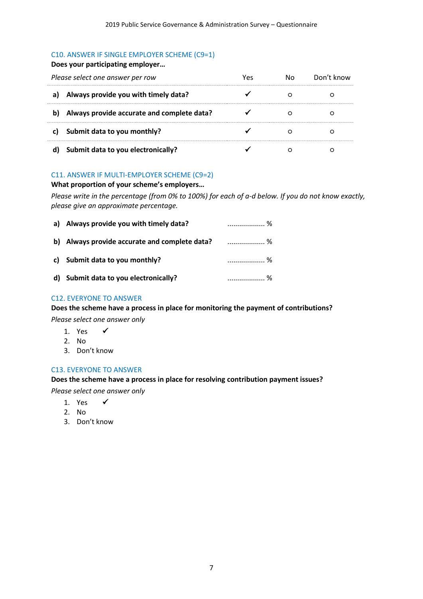# C10. ANSWER IF SINGLE EMPLOYER SCHEME (C9=1)

# **Does your participating employer…**

| Please select one answer per row |                                            | No l | Don't know |
|----------------------------------|--------------------------------------------|------|------------|
|                                  | a) Always provide you with timely data?    |      |            |
| b)                               | Always provide accurate and complete data? |      |            |
|                                  | c) Submit data to you monthly?             |      |            |
|                                  | d) Submit data to you electronically?      |      |            |

# C11. ANSWER IF MULTI-EMPLOYER SCHEME (C9=2)

# **What proportion of your scheme's employers…**

*Please write in the percentage (from 0% to 100%) for each of a-d below. If you do not know exactly, please give an approximate percentage.*

| a) Always provide you with timely data?          |     |
|--------------------------------------------------|-----|
| b) Always provide accurate and complete data?  % |     |
| c) Submit data to you monthly?                   | . % |
| d) Submit data to you electronically?            | . % |

# C12. EVERYONE TO ANSWER

# **Does the scheme have a process in place for monitoring the payment of contributions?**

*Please select one answer only*

- 1. Yes  $\checkmark$
- 2. No
- 3. Don't know

# C13. EVERYONE TO ANSWER

# **Does the scheme have a process in place for resolving contribution payment issues?**

*Please select one answer only*

- 1 Yes  $\checkmark$
- 2. No
- 3. Don't know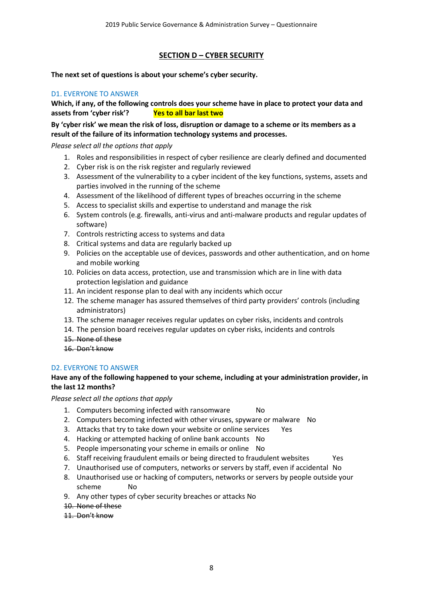# **SECTION D – CYBER SECURITY**

**The next set of questions is about your scheme's cyber security.**

# D1. EVERYONE TO ANSWER

**Which, if any, of the following controls does your scheme have in place to protect your data and assets from 'cyber risk'? Yes to all bar last two**

**By 'cyber risk' we mean the risk of loss, disruption or damage to a scheme or its members as a result of the failure of its information technology systems and processes.**

*Please select all the options that apply*

- 1. Roles and responsibilities in respect of cyber resilience are clearly defined and documented
- 2. Cyber risk is on the risk register and regularly reviewed
- 3. Assessment of the vulnerability to a cyber incident of the key functions, systems, assets and parties involved in the running of the scheme
- 4. Assessment of the likelihood of different types of breaches occurring in the scheme
- 5. Access to specialist skills and expertise to understand and manage the risk
- 6. System controls (e.g. firewalls, anti-virus and anti-malware products and regular updates of software)
- 7. Controls restricting access to systems and data
- 8. Critical systems and data are regularly backed up
- 9. Policies on the acceptable use of devices, passwords and other authentication, and on home and mobile working
- 10. Policies on data access, protection, use and transmission which are in line with data protection legislation and guidance
- 11. An incident response plan to deal with any incidents which occur
- 12. The scheme manager has assured themselves of third party providers' controls (including administrators)
- 13. The scheme manager receives regular updates on cyber risks, incidents and controls
- 14. The pension board receives regular updates on cyber risks, incidents and controls
- 15. None of these
- 16. Don't know

# D2. EVERYONE TO ANSWER

# **Have any of the following happened to your scheme, including at your administration provider, in the last 12 months?**

*Please select all the options that apply*

- 1. Computers becoming infected with ransomware No
- 2. Computers becoming infected with other viruses, spyware or malware No
- 3. Attacks that try to take down your website or online services Yes
- 4. Hacking or attempted hacking of online bank accounts No
- 5. People impersonating your scheme in emails or online No
- 6. Staff receiving fraudulent emails or being directed to fraudulent websites Yes
- 7. Unauthorised use of computers, networks or servers by staff, even if accidental No
- 8. Unauthorised use or hacking of computers, networks or servers by people outside your scheme No
- 9. Any other types of cyber security breaches or attacks No
- 10. None of these

# 11. Don't know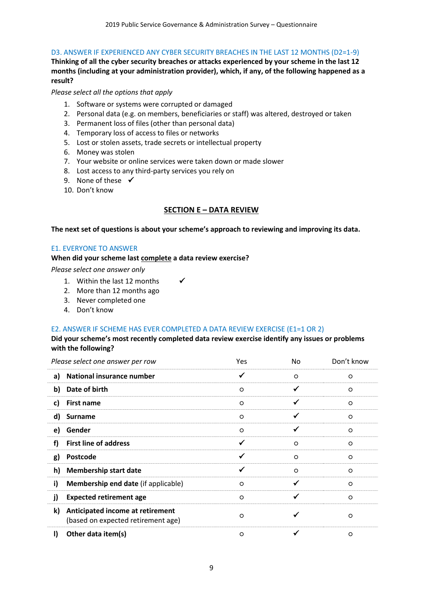# D3. ANSWER IF EXPERIENCED ANY CYBER SECURITY BREACHES IN THE LAST 12 MONTHS (D2=1-9)

**Thinking of all the cyber security breaches or attacks experienced by your scheme in the last 12 months (including at your administration provider), which, if any, of the following happened as a result?**

*Please select all the options that apply*

- 1. Software or systems were corrupted or damaged
- 2. Personal data (e.g. on members, beneficiaries or staff) was altered, destroyed or taken
- 3. Permanent loss of files (other than personal data)
- 4. Temporary loss of access to files or networks
- 5. Lost or stolen assets, trade secrets or intellectual property
- 6. Money was stolen
- 7. Your website or online services were taken down or made slower
- 8. Lost access to any third-party services you rely on
- 9. None of these  $\checkmark$
- 10. Don't know

# **SECTION E – DATA REVIEW**

**The next set of questions is about your scheme's approach to reviewing and improving its data.**

#### E1. EVERYONE TO ANSWER

**When did your scheme last complete a data review exercise?**

*Please select one answer only*

- 1. Within the last 12 months  $\checkmark$
- 2. More than 12 months ago
- 3. Never completed one
- 4. Don't know

# E2. ANSWER IF SCHEME HAS EVER COMPLETED A DATA REVIEW EXERCISE (E1=1 OR 2)

# **Did your scheme's most recently completed data review exercise identify any issues or problems with the following?**

| Please select one answer per row                                             | Yes     | No.     | Don't know |
|------------------------------------------------------------------------------|---------|---------|------------|
| <b>National insurance number</b><br>a)                                       | ✓       | $\circ$ | $\circ$    |
| Date of birth<br>b)                                                          | $\circ$ |         | $\circ$    |
| <b>First name</b><br>c)                                                      | $\circ$ |         | $\circ$    |
| d)<br><b>Surname</b>                                                         | $\circ$ |         | $\circ$    |
| Gender<br>e)                                                                 | $\circ$ | ✓       | $\circ$    |
| <b>First line of address</b><br>f)                                           | ✓       | $\circ$ | $\circ$    |
| Postcode<br>g)                                                               |         | $\circ$ | $\circ$    |
| h)<br><b>Membership start date</b>                                           | ✓       | $\circ$ | $\circ$    |
| i)<br>Membership end date (if applicable)                                    | $\circ$ | ✓       | $\circ$    |
| <b>Expected retirement age</b><br>j)                                         | $\circ$ |         | $\circ$    |
| k)<br>Anticipated income at retirement<br>(based on expected retirement age) | $\circ$ |         | $\circ$    |
| Other data item(s)<br>I)                                                     | O       |         | $\circ$    |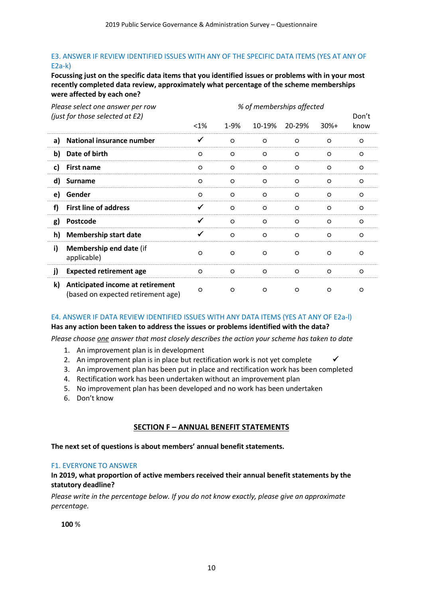# E3. ANSWER IF REVIEW IDENTIFIED ISSUES WITH ANY OF THE SPECIFIC DATA ITEMS (YES AT ANY OF E2a-k)

**Focussing just on the specific data items that you identified issues or problems with in your most recently completed data review, approximately what percentage of the scheme memberships were affected by each one?**

| Please select one answer per row                                             | % of memberships affected |         |         |         |         |         |  |  |  |  |  |
|------------------------------------------------------------------------------|---------------------------|---------|---------|---------|---------|---------|--|--|--|--|--|
| (just for those selected at E2)                                              |                           | Don't   |         |         |         |         |  |  |  |  |  |
|                                                                              | $< 1\%$                   | 1-9%    | 10-19%  | 20-29%  | $30%+$  | know    |  |  |  |  |  |
| National insurance number<br>a)                                              | ✓                         | $\circ$ | $\circ$ | $\circ$ | $\circ$ | $\circ$ |  |  |  |  |  |
| b)<br>Date of birth                                                          | $\circ$                   | $\circ$ | $\circ$ | $\circ$ | $\circ$ | $\circ$ |  |  |  |  |  |
| c)<br><b>First name</b>                                                      | $\circ$                   | $\circ$ | $\circ$ | $\circ$ | $\circ$ | $\circ$ |  |  |  |  |  |
| d)<br><b>Surname</b>                                                         | $\circ$                   | $\circ$ | $\circ$ | $\circ$ | $\circ$ | $\circ$ |  |  |  |  |  |
| Gender<br>e)                                                                 | $\circ$                   | $\circ$ | $\circ$ | $\circ$ | $\circ$ | $\circ$ |  |  |  |  |  |
| <b>First line of address</b><br>f)                                           | ✓                         | $\circ$ | $\circ$ | $\circ$ | $\circ$ | $\circ$ |  |  |  |  |  |
| Postcode<br>g)                                                               | ✓                         | $\circ$ | $\circ$ | $\circ$ | $\circ$ | $\circ$ |  |  |  |  |  |
| h)<br><b>Membership start date</b>                                           | ✓                         | $\circ$ | $\circ$ | $\circ$ | $\circ$ | $\circ$ |  |  |  |  |  |
| i)<br>Membership end date (if<br>applicable)                                 | $\circ$                   | $\circ$ | $\circ$ | $\circ$ | $\circ$ | O       |  |  |  |  |  |
| j)<br><b>Expected retirement age</b>                                         | $\circ$                   | $\circ$ | $\circ$ | $\circ$ | $\circ$ | $\circ$ |  |  |  |  |  |
| k)<br>Anticipated income at retirement<br>(based on expected retirement age) | $\circ$                   | $\circ$ | $\circ$ | $\circ$ | $\circ$ | O       |  |  |  |  |  |

# E4. ANSWER IF DATA REVIEW IDENTIFIED ISSUES WITH ANY DATA ITEMS (YES AT ANY OF E2a-l)

**Has any action been taken to address the issues or problems identified with the data?**

*Please choose one answer that most closely describes the action your scheme has taken to date*

- 1. An improvement plan is in development
- 2. An improvement plan is in place but rectification work is not yet complete  $\checkmark$
- 3. An improvement plan has been put in place and rectification work has been completed
- 4. Rectification work has been undertaken without an improvement plan
- 5. No improvement plan has been developed and no work has been undertaken
- 6. Don't know

# **SECTION F – ANNUAL BENEFIT STATEMENTS**

# **The next set of questions is about members' annual benefit statements.**

# F1. EVERYONE TO ANSWER

#### **In 2019, what proportion of active members received their annual benefit statements by the statutory deadline?**

*Please write in the percentage below. If you do not know exactly, please give an approximate percentage.*

**100** %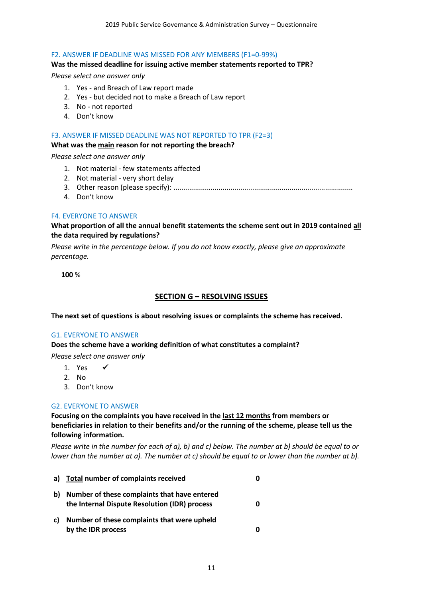#### F2. ANSWER IF DEADLINE WAS MISSED FOR ANY MEMBERS (F1=0-99%)

#### **Was the missed deadline for issuing active member statements reported to TPR?**

#### *Please select one answer only*

- 1. Yes and Breach of Law report made
- 2. Yes but decided not to make a Breach of Law report
- 3. No not reported
- 4. Don't know

#### F3. ANSWER IF MISSED DEADLINE WAS NOT REPORTED TO TPR (F2=3)

#### **What was the main reason for not reporting the breach?**

*Please select one answer only*

- 1. Not material few statements affected
- 2. Not material very short delay
- 3. Other reason (please specify): ...........................................................................................
- 4. Don't know

#### F4. EVERYONE TO ANSWER

# **What proportion of all the annual benefit statements the scheme sent out in 2019 contained all the data required by regulations?**

*Please write in the percentage below. If you do not know exactly, please give an approximate percentage.*

**100** %

#### **SECTION G – RESOLVING ISSUES**

**The next set of questions is about resolving issues or complaints the scheme has received.**

# G1. EVERYONE TO ANSWER

**Does the scheme have a working definition of what constitutes a complaint?** 

*Please select one answer only*

- 1. Yes  $\checkmark$
- 2. No
- 3. Don't know

#### G2. EVERYONE TO ANSWER

**Focusing on the complaints you have received in the last 12 months from members or beneficiaries in relation to their benefits and/or the running of the scheme, please tell us the following information.**

*Please write in the number for each of a), b) and c) below. The number at b) should be equal to or lower than the number at a). The number at c) should be equal to or lower than the number at b).*

| a) | Total number of complaints received                                                           | O |
|----|-----------------------------------------------------------------------------------------------|---|
| b) | Number of these complaints that have entered<br>the Internal Dispute Resolution (IDR) process | 0 |
| c) | Number of these complaints that were upheld<br>by the IDR process                             | Ω |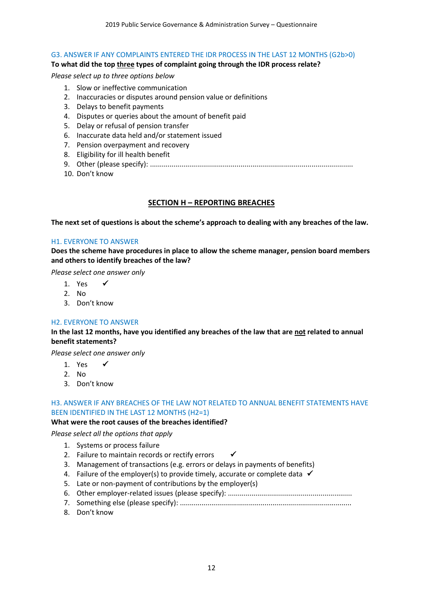## G3. ANSWER IF ANY COMPLAINTS ENTERED THE IDR PROCESS IN THE LAST 12 MONTHS (G2b>0)

## **To what did the top three types of complaint going through the IDR process relate?**

#### *Please select up to three options below*

- 1. Slow or ineffective communication
- 2. Inaccuracies or disputes around pension value or definitions
- 3. Delays to benefit payments
- 4. Disputes or queries about the amount of benefit paid
- 5. Delay or refusal of pension transfer
- 6. Inaccurate data held and/or statement issued
- 7. Pension overpayment and recovery
- 8. Eligibility for ill health benefit
- 9. Other (please specify): .......................................................................................................
- 10. Don't know

# **SECTION H – REPORTING BREACHES**

**The next set of questions is about the scheme's approach to dealing with any breaches of the law.**

#### H1. EVERYONE TO ANSWER

**Does the scheme have procedures in place to allow the scheme manager, pension board members and others to identify breaches of the law?**

*Please select one answer only*

- 1. Yes  $\checkmark$
- 2. No
- 3. Don't know

# H2. EVERYONE TO ANSWER

**In the last 12 months, have you identified any breaches of the law that are not related to annual benefit statements?** 

*Please select one answer only*

- 1. Yes  $\checkmark$
- 2. No
- 3. Don't know

# H3. ANSWER IF ANY BREACHES OF THE LAW NOT RELATED TO ANNUAL BENEFIT STATEMENTS HAVE BEEN IDENTIFIED IN THE LAST 12 MONTHS (H2=1)

# **What were the root causes of the breaches identified?**

*Please select all the options that apply*

- 1. Systems or process failure
- 2. Failure to maintain records or rectify errors  $\checkmark$
- 3. Management of transactions (e.g. errors or delays in payments of benefits)
- 4. Failure of the employer(s) to provide timely, accurate or complete data  $\checkmark$
- 5. Late or non-payment of contributions by the employer(s)
- 6. Other employer-related issues (please specify): ...............................................................
- 7. Something else (please specify): .......................................................................................
- 8. Don't know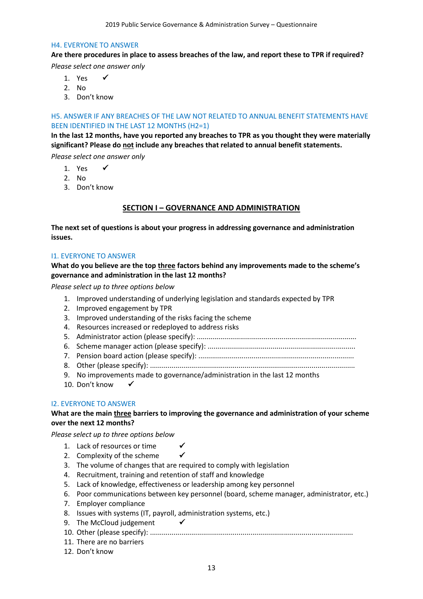#### H4. EVERYONE TO ANSWER

# **Are there procedures in place to assess breaches of the law, and report these to TPR if required?**

*Please select one answer only*

- 1. Yes  $\checkmark$
- 2. No
- 3. Don't know

# H5. ANSWER IF ANY BREACHES OF THE LAW NOT RELATED TO ANNUAL BENEFIT STATEMENTS HAVE BEEN IDENTIFIED IN THE LAST 12 MONTHS (H2=1)

**In the last 12 months, have you reported any breaches to TPR as you thought they were materially significant? Please do not include any breaches that related to annual benefit statements.**

*Please select one answer only*

- 1. Yes  $\checkmark$
- 2. No
- 3. Don't know

# **SECTION I – GOVERNANCE AND ADMINISTRATION**

**The next set of questions is about your progress in addressing governance and administration issues.**

# I1. EVERYONE TO ANSWER

# **What do you believe are the top three factors behind any improvements made to the scheme's governance and administration in the last 12 months?**

*Please select up to three options below*

- 1. Improved understanding of underlying legislation and standards expected by TPR
- 2. Improved engagement by TPR
- 3. Improved understanding of the risks facing the scheme
- 4. Resources increased or redeployed to address risks
- 5. Administrator action (please specify): .................................................................................
- 6. Scheme manager action (please specify): ...........................................................................
- 7. Pension board action (please specify): ...............................................................................
- 8. Other (please specify): ........................................................................................................
- 9. No improvements made to governance/administration in the last 12 months
- 10. Don't know

# I2. EVERYONE TO ANSWER

# **What are the main three barriers to improving the governance and administration of your scheme over the next 12 months?**

*Please select up to three options below*

- 1. Lack of resources or time
- 2. Complexity of the scheme
- 3. The volume of changes that are required to comply with legislation
- 4. Recruitment, training and retention of staff and knowledge
- 5. Lack of knowledge, effectiveness or leadership among key personnel
- 6. Poor communications between key personnel (board, scheme manager, administrator, etc.)
- 7. Employer compliance
- 8. Issues with systems (IT, payroll, administration systems, etc.)
- 9. The McCloud judgement  $\checkmark$
- 10. Other (please specify): .......................................................................................................
- 11. There are no barriers
- 12. Don't know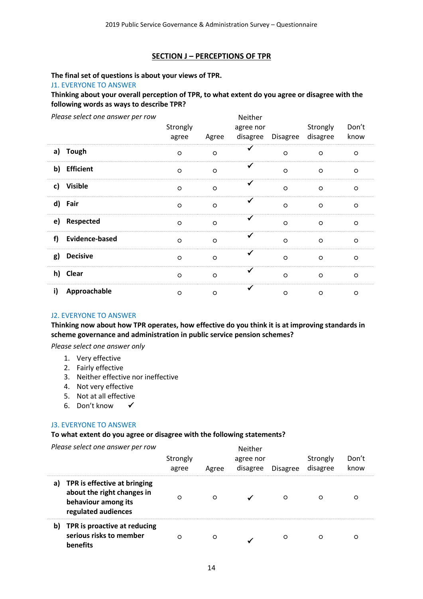# **SECTION J – PERCEPTIONS OF TPR**

# **The final set of questions is about your views of TPR.**

J1. EVERYONE TO ANSWER

**Thinking about your overall perception of TPR, to what extent do you agree or disagree with the following words as ways to describe TPR?**

| Please select one answer per row | Strongly<br>agree | Agree   | Neither<br>agree nor<br>disagree | <b>Disagree</b> | Strongly<br>disagree | Don't<br>know |  |
|----------------------------------|-------------------|---------|----------------------------------|-----------------|----------------------|---------------|--|
| a)<br><b>Tough</b>               | $\circ$           | $\circ$ | ✓                                | $\circ$         | $\circ$              | $\circ$       |  |
| <b>Efficient</b><br>b)           | $\circ$           | $\circ$ | ✔                                | $\circ$         | $\circ$              | $\circ$       |  |
| <b>Visible</b><br>c)             | $\circ$           | $\circ$ | ✓                                | $\circ$         | $\circ$              | $\circ$       |  |
| d)<br>Fair                       | $\circ$           | $\circ$ | ✔                                | $\circ$         | $\circ$              | $\circ$       |  |
| Respected<br>e)                  | $\circ$           | $\circ$ | ✓                                | $\circ$         | $\circ$              | $\circ$       |  |
| <b>Evidence-based</b><br>f)      | $\circ$           | $\circ$ | ✔                                | $\circ$         | $\circ$              | $\circ$       |  |
| <b>Decisive</b><br>g)            | $\circ$           | $\circ$ | ✓                                | $\circ$         | $\circ$              | $\circ$       |  |
| h)<br><b>Clear</b>               | $\circ$           | $\circ$ | ✔                                | $\circ$         | $\circ$              | $\circ$       |  |
| Approachable<br>i)               | $\circ$           | $\circ$ | ✔                                | $\circ$         | $\circ$              | $\circ$       |  |

#### J2. EVERYONE TO ANSWER

**Thinking now about how TPR operates, how effective do you think it is at improving standards in scheme governance and administration in public service pension schemes?**

*Please select one answer only*

- 1. Very effective
- 2. Fairly effective
- 3. Neither effective nor ineffective
- 4. Not very effective
- 5. Not at all effective
- 6. Don't know

# J3. EVERYONE TO ANSWER

#### **To what extent do you agree or disagree with the following statements?**

*Please select one answer per row*

|    | Please select one answer per row                                                                         | Strongly<br>agree | Agree | Neither<br>agree nor<br>disagree | <b>Disagree</b> | Strongly<br>disagree | Don't<br>know |
|----|----------------------------------------------------------------------------------------------------------|-------------------|-------|----------------------------------|-----------------|----------------------|---------------|
| a) | TPR is effective at bringing<br>about the right changes in<br>behaviour among its<br>regulated audiences | O                 | O     |                                  | O               | O                    | Ο             |
| b) | TPR is proactive at reducing<br>serious risks to member<br>benefits                                      | O                 | O     |                                  | $\circ$         | O                    | O             |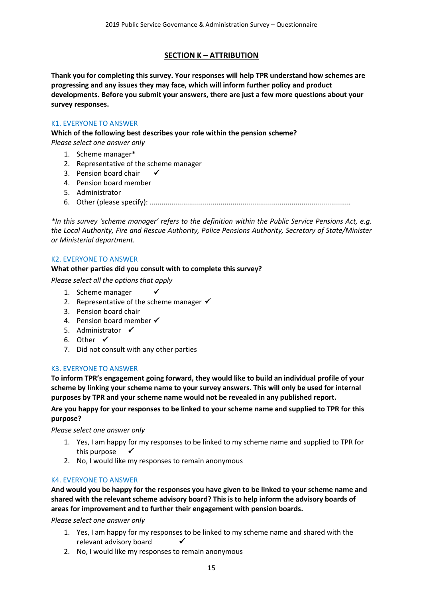# **SECTION K – ATTRIBUTION**

**Thank you for completing this survey. Your responses will help TPR understand how schemes are progressing and any issues they may face, which will inform further policy and product developments. Before you submit your answers, there are just a few more questions about your survey responses.**

# K1. EVERYONE TO ANSWER

**Which of the following best describes your role within the pension scheme?**

*Please select one answer only*

- 1. Scheme manager\*
- 2. Representative of the scheme manager
- 3. Pension board chair  $\checkmark$
- 4. Pension board member
- 5. Administrator
- 6. Other (please specify): ......................................................................................................

*\*In this survey 'scheme manager' refers to the definition within the Public Service Pensions Act, e.g. the Local Authority, Fire and Rescue Authority, Police Pensions Authority, Secretary of State/Minister or Ministerial department.* 

# K2. EVERYONE TO ANSWER

# **What other parties did you consult with to complete this survey?**

*Please select all the options that apply*

- 1. Scheme manager  $\checkmark$
- 2. Representative of the scheme manager  $\checkmark$
- 3. Pension board chair
- 4. Pension board member  $\checkmark$
- 5. Administrator  $\checkmark$
- 6. Other  $\checkmark$
- 7. Did not consult with any other parties

# K3. EVERYONE TO ANSWER

**To inform TPR's engagement going forward, they would like to build an individual profile of your scheme by linking your scheme name to your survey answers. This will only be used for internal purposes by TPR and your scheme name would not be revealed in any published report.**

# **Are you happy for your responses to be linked to your scheme name and supplied to TPR for this purpose?**

*Please select one answer only*

- 1. Yes, I am happy for my responses to be linked to my scheme name and supplied to TPR for this purpose  $\checkmark$
- 2. No, I would like my responses to remain anonymous

# K4. EVERYONE TO ANSWER

**And would you be happy for the responses you have given to be linked to your scheme name and shared with the relevant scheme advisory board? This is to help inform the advisory boards of areas for improvement and to further their engagement with pension boards.**

*Please select one answer only*

- 1. Yes, I am happy for my responses to be linked to my scheme name and shared with the relevant advisory board
- 2. No, I would like my responses to remain anonymous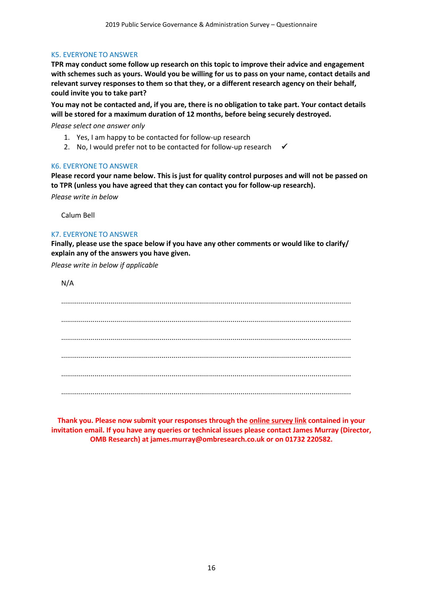# K5. EVERYONE TO ANSWER

**TPR may conduct some follow up research on this topic to improve their advice and engagement with schemes such as yours. Would you be willing for us to pass on your name, contact details and relevant survey responses to them so that they, or a different research agency on their behalf, could invite you to take part?** 

**You may not be contacted and, if you are, there is no obligation to take part. Your contact details will be stored for a maximum duration of 12 months, before being securely destroyed.**

*Please select one answer only*

- 1. Yes, I am happy to be contacted for follow-up research
- 2. No, I would prefer not to be contacted for follow-up research  $\checkmark$

#### K6. EVERYONE TO ANSWER

**Please record your name below. This is just for quality control purposes and will not be passed on to TPR (unless you have agreed that they can contact you for follow-up research).**

*Please write in below*

Calum Bell

# K7. EVERYONE TO ANSWER

**Finally, please use the space below if you have any other comments or would like to clarify/ explain any of the answers you have given.**

*Please write in below if applicable*

| N/A |
|-----|
|     |
|     |
|     |
|     |
|     |
|     |
|     |
|     |
|     |

**Thank you. Please now submit your responses through the online survey link contained in your invitation email. If you have any queries or technical issues please contact James Murray (Director, OMB Research) at james.murray@ombresearch.co.uk or on 01732 220582.**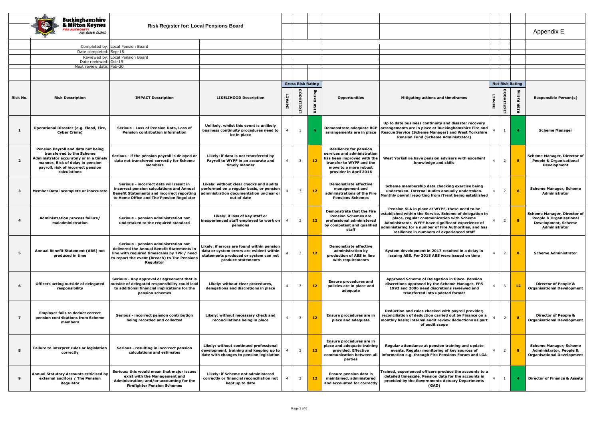|                         | <b>Buckinghamshire</b>                                                            |                                                                                                |                                                                                 |                |                          |                |                                                                |                                                                                                               |                |                   |                        |                                                                      |
|-------------------------|-----------------------------------------------------------------------------------|------------------------------------------------------------------------------------------------|---------------------------------------------------------------------------------|----------------|--------------------------|----------------|----------------------------------------------------------------|---------------------------------------------------------------------------------------------------------------|----------------|-------------------|------------------------|----------------------------------------------------------------------|
|                         | Milton Keynes                                                                     | <b>Risk Register for: Local Pensions Board</b>                                                 |                                                                                 |                |                          |                |                                                                |                                                                                                               |                |                   |                        |                                                                      |
|                         | <b>IRE AUTHORITY</b>                                                              |                                                                                                |                                                                                 |                |                          |                |                                                                |                                                                                                               |                |                   |                        |                                                                      |
|                         | ne save lives                                                                     |                                                                                                |                                                                                 |                |                          |                |                                                                |                                                                                                               |                |                   |                        | Appendix E                                                           |
|                         |                                                                                   |                                                                                                |                                                                                 |                |                          |                |                                                                |                                                                                                               |                |                   |                        |                                                                      |
|                         |                                                                                   | Completed by: Local Pension Board                                                              |                                                                                 |                |                          |                |                                                                |                                                                                                               |                |                   |                        |                                                                      |
|                         | Date completed: Sep-18                                                            |                                                                                                |                                                                                 |                |                          |                |                                                                |                                                                                                               |                |                   |                        |                                                                      |
|                         | Date reviewed: Oct-19                                                             | Reviewed by: Local Pension Board                                                               |                                                                                 |                |                          |                |                                                                |                                                                                                               |                |                   |                        |                                                                      |
|                         | Next review date: Feb-20                                                          |                                                                                                |                                                                                 |                |                          |                |                                                                |                                                                                                               |                |                   |                        |                                                                      |
|                         |                                                                                   |                                                                                                |                                                                                 |                |                          |                |                                                                |                                                                                                               |                |                   |                        |                                                                      |
|                         |                                                                                   |                                                                                                |                                                                                 |                |                          |                |                                                                |                                                                                                               |                |                   |                        |                                                                      |
|                         |                                                                                   |                                                                                                |                                                                                 |                | <b>Gross Risk Rating</b> |                |                                                                |                                                                                                               |                |                   | <b>Net Risk Rating</b> |                                                                      |
|                         |                                                                                   |                                                                                                |                                                                                 |                |                          |                |                                                                |                                                                                                               |                |                   |                        |                                                                      |
| Risk No.                | <b>Risk Description</b>                                                           | <b>IMPACT Description</b>                                                                      | <b>LIKELIHOOD Description</b>                                                   |                | LIKELIHOOD               | Rating         | <b>Opportunities</b>                                           | Mitigating actions and timeframes                                                                             |                | <b>LIKELIHOOD</b> | RISK Rating            | <b>Responsible Person(s)</b>                                         |
|                         |                                                                                   |                                                                                                |                                                                                 | <b>IMPACT</b>  |                          |                |                                                                |                                                                                                               | <b>IMPACT</b>  |                   |                        |                                                                      |
|                         |                                                                                   |                                                                                                |                                                                                 |                |                          | <b>RISK</b>    |                                                                |                                                                                                               |                |                   |                        |                                                                      |
|                         |                                                                                   |                                                                                                |                                                                                 |                |                          |                |                                                                |                                                                                                               |                |                   |                        |                                                                      |
|                         |                                                                                   |                                                                                                |                                                                                 |                |                          |                |                                                                |                                                                                                               |                |                   |                        |                                                                      |
|                         | Operational Disaster (e.g. Flood, Fire,                                           | Serious - Loss of Pension Data, Loss of                                                        | Unlikely, whilst this event is unlikely                                         |                |                          |                | Demonstrate adequate BCP                                       | Up to date business continuity and disaster recovery<br>arrangements are in place at Buckinghamshire Fire and |                |                   |                        |                                                                      |
| -1                      | <b>Cyber Crime)</b>                                                               | <b>Pension contribution information</b>                                                        | business continuity procedures need to                                          | -4             | 1                        | $\overline{4}$ | arrangements are in place                                      | <b>Rescue Service (Scheme Manager) and West Yorkshire</b>                                                     |                | $\mathbf{1}$      | $\overline{a}$         | <b>Scheme Manager</b>                                                |
|                         |                                                                                   |                                                                                                | be in place                                                                     |                |                          |                |                                                                | <b>Pension Fund (Scheme Administrator)</b>                                                                    |                |                   |                        |                                                                      |
|                         |                                                                                   |                                                                                                |                                                                                 |                |                          |                |                                                                |                                                                                                               |                |                   |                        |                                                                      |
|                         | Pension Payroll and data not being                                                |                                                                                                |                                                                                 |                |                          |                | <b>Resilience for pension</b>                                  |                                                                                                               |                |                   |                        |                                                                      |
|                         | transferred to the Scheme                                                         | Serious - if the pension payroll is delayed or                                                 | Likely: if data is not transferred by                                           |                |                          |                | services and administration                                    |                                                                                                               |                |                   |                        | <b>Scheme Manager, Director of</b>                                   |
| $\overline{\mathbf{2}}$ | Administrator accurately or in a timely<br>manner. Risk of delay in pension       | data not transferred correctly for Scheme                                                      | Payroll to WYPF in an accurate and                                              | $\overline{4}$ | $\overline{\mathbf{3}}$  | 12             | has been improved with the<br>transfer to WYPF and the         | West Yorkshire have pension advisors with excellent<br>knowledge and skills                                   | $\overline{4}$ | $\overline{2}$    | $\mathbf{8}$           | <b>People &amp; Organisational</b>                                   |
|                         | payroll, risk of incorrect pension                                                | members                                                                                        | timely manner                                                                   |                |                          |                | move to a more robust                                          |                                                                                                               |                |                   |                        | Development                                                          |
|                         | calculations                                                                      |                                                                                                |                                                                                 |                |                          |                | provider in April 2016                                         |                                                                                                               |                |                   |                        |                                                                      |
|                         |                                                                                   |                                                                                                |                                                                                 |                |                          |                |                                                                |                                                                                                               |                |                   |                        |                                                                      |
|                         |                                                                                   | Serious - incorrect data will result in                                                        | Likely: without clear checks and audits                                         |                |                          |                | <b>Demonstrate effective</b>                                   | Scheme membership data checking exercise being                                                                |                |                   |                        |                                                                      |
| - 3                     | Member Data incomplete or inaccurate                                              | incorrect pension calculations and Annual                                                      | performed on a regular basis, or pension                                        |                | 3                        | $12$           | management and<br>administrations of the Fire                  | undertaken. Internal Audits annually undertaken.                                                              | $\overline{4}$ | $\overline{2}$    | 8                      | <b>Scheme Manager, Scheme</b>                                        |
|                         |                                                                                   | <b>Benefit Statements and incorrect reporting</b><br>to Home Office and The Pension Regulator  | administration documentation unclear or<br>out of date                          |                |                          |                | <b>Pensions Schemes</b>                                        | Monthly payroll reporting from iTrent being established                                                       |                |                   |                        | Administrator                                                        |
|                         |                                                                                   |                                                                                                |                                                                                 |                |                          |                |                                                                |                                                                                                               |                |                   |                        |                                                                      |
|                         |                                                                                   |                                                                                                |                                                                                 |                |                          |                |                                                                | Pension SLA in place at WYPF, these need to be                                                                |                |                   |                        |                                                                      |
|                         |                                                                                   |                                                                                                | Likely: if loss of key staff or                                                 |                |                          |                | <b>Demonstrate that the Fire</b><br><b>Pension Schemes are</b> | established within the Service, Scheme of delegation in                                                       |                |                   |                        | <b>Scheme Manager, Director of</b>                                   |
| 4                       | Administration process failure/<br>maladministration                              | Serious - pension administration not<br>undertaken to the required standard                    | inexperienced staff employed to work on                                         |                | $\overline{3}$           | 12             | professional administered                                      | place, regular communication with Scheme<br>Administrator. WYPF have significant experience of                | 4              | $\overline{2}$    | 8                      | <b>People &amp; Organisational</b><br><b>Development, Scheme</b>     |
|                         |                                                                                   |                                                                                                | pensions                                                                        |                |                          |                | by competent and qualified                                     | administering for a number of Fire Authorities, and has                                                       |                |                   |                        | Administrator                                                        |
|                         |                                                                                   |                                                                                                |                                                                                 |                |                          |                | staff                                                          | resilience in numbers of experienced staff                                                                    |                |                   |                        |                                                                      |
|                         |                                                                                   |                                                                                                |                                                                                 |                |                          |                |                                                                |                                                                                                               |                |                   |                        |                                                                      |
|                         |                                                                                   | Serious - pension administration not                                                           | Likely: if errors are found within pension                                      |                |                          |                | <b>Demonstrate effective</b>                                   |                                                                                                               |                |                   |                        |                                                                      |
| 5                       | Annual Benefit Statement (ABS) not                                                | delivered the Annual Benefit Statements in<br>line with required timescales by TPR / need      | data or system errors are evident within                                        |                | $\overline{3}$           | $12$           | administration by                                              | System development in 2017 resulted in a delay in                                                             | $\overline{4}$ | $\overline{2}$    | $\mathbf{8}$           | <b>Scheme Administrator</b>                                          |
|                         | produced in time                                                                  | to report the event (breach) to The Pensions                                                   | statements produced or system can not                                           |                |                          |                | production of ABS in line                                      | issuing ABS. For 2018 ABS were issued on time                                                                 |                |                   |                        |                                                                      |
|                         |                                                                                   | Regulator                                                                                      | produce statements                                                              |                |                          |                | with requirements                                              |                                                                                                               |                |                   |                        |                                                                      |
|                         |                                                                                   |                                                                                                |                                                                                 |                |                          |                |                                                                |                                                                                                               |                |                   |                        |                                                                      |
|                         |                                                                                   |                                                                                                |                                                                                 |                |                          |                |                                                                |                                                                                                               |                |                   |                        |                                                                      |
|                         |                                                                                   | Serious - Any approval or agreement that is                                                    |                                                                                 |                |                          |                | <b>Ensure procedures and</b>                                   | Approved Scheme of Delegation in Place. Pension                                                               |                |                   |                        |                                                                      |
| 6                       | Officers acting outside of delegated<br>responsibility                            | outside of delegated responsibility could lead<br>to additional financial implications for the | Likely: without clear procedures,<br>delegations and discretions in place       | $\overline{4}$ | $\overline{\mathbf{3}}$  | 12             | policies are in place and                                      | discretions approved by the Scheme Manager. FPS<br>1992 and 2006 need discretions reviewed and                | $\overline{4}$ | $\overline{3}$    | 12                     | <b>Director of People &amp;</b><br><b>Organisational Development</b> |
|                         |                                                                                   | pension schemes                                                                                |                                                                                 |                |                          |                | adequate                                                       | transferred into updated format                                                                               |                |                   |                        |                                                                      |
|                         |                                                                                   |                                                                                                |                                                                                 |                |                          |                |                                                                |                                                                                                               |                |                   |                        |                                                                      |
|                         |                                                                                   |                                                                                                |                                                                                 |                |                          |                |                                                                |                                                                                                               |                |                   |                        |                                                                      |
|                         | <b>Employer fails to deduct correct</b>                                           |                                                                                                |                                                                                 |                |                          |                |                                                                | Deduction and rules checked with payroll provider;                                                            |                |                   |                        |                                                                      |
| -7                      | pension contributions from Scheme                                                 | Serious - incorrect pension contribution                                                       | Likely: without necessary check and                                             | $\overline{4}$ | $\overline{\mathbf{3}}$  | 12             | Ensure procedures are in                                       | reconciliation of deduction carried out by Finance on a                                                       |                | $\overline{2}$    | 8                      | <b>Director of People &amp;</b>                                      |
|                         | members                                                                           | being recorded and collected                                                                   | reconciliations being in place                                                  |                |                          |                | place and adequate                                             | monthly basis; internal audit review deductions as part<br>of audit scope                                     |                |                   |                        | <b>Organisational Development</b>                                    |
|                         |                                                                                   |                                                                                                |                                                                                 |                |                          |                |                                                                |                                                                                                               |                |                   |                        |                                                                      |
|                         |                                                                                   |                                                                                                |                                                                                 |                |                          |                |                                                                |                                                                                                               |                |                   |                        |                                                                      |
|                         |                                                                                   |                                                                                                |                                                                                 |                |                          |                | Ensure procedures are in                                       |                                                                                                               |                |                   |                        |                                                                      |
|                         | Failure to interpret rules or legislation                                         | Serious - resulting in incorrect pension                                                       | Likely: without continued professional                                          |                |                          |                | place and adequate training                                    | Regular attendance at pension training and update                                                             |                |                   |                        | <b>Scheme Manager, Scheme</b>                                        |
| 8                       | correctly                                                                         | calculations and estimates                                                                     | development, training and keeping up to                                         | -4             | $\overline{3}$           | 12             | provided. Effective                                            | events. Regular monitoring of key sources of                                                                  | $\overline{4}$ | $\overline{2}$    | $\mathbf{8}$           | <b>Administrator, People &amp;</b>                                   |
|                         |                                                                                   |                                                                                                | date with changes to pension legislation                                        |                |                          |                | communication between all<br>parties                           | information e.g. through Fire Pensions Forum and LGA                                                          |                |                   |                        | <b>Organisational Development</b>                                    |
|                         |                                                                                   |                                                                                                |                                                                                 |                |                          |                |                                                                |                                                                                                               |                |                   |                        |                                                                      |
|                         |                                                                                   | Serious: this would mean that major issues                                                     |                                                                                 |                |                          |                |                                                                | <b>Frained, experienced officers produce the accounts to a</b>                                                |                |                   |                        |                                                                      |
| 9                       | <b>Annual Statutory Accounts criticised by</b><br>external auditors / The Pension | exist with the Management and                                                                  | Likely: if Scheme not administered<br>correctly or financial reconciliation not |                | $\overline{3}$           | 12             | <b>Ensure pension data is</b><br>maintained, administered      | detailed timescale. Pension data for the accounts is                                                          |                | $\mathbf{1}$      |                        | <b>Director of Finance &amp; Assets</b>                              |
|                         | Regulator                                                                         | Administration, and/or accounting for the                                                      | kept up to date                                                                 |                |                          |                | and accounted for correctly                                    | provided by the Governments Actuary Departments                                                               |                |                   |                        |                                                                      |
|                         |                                                                                   | <b>Firefighter Pension Schemes</b>                                                             |                                                                                 |                |                          |                |                                                                | (GAD)                                                                                                         |                |                   |                        |                                                                      |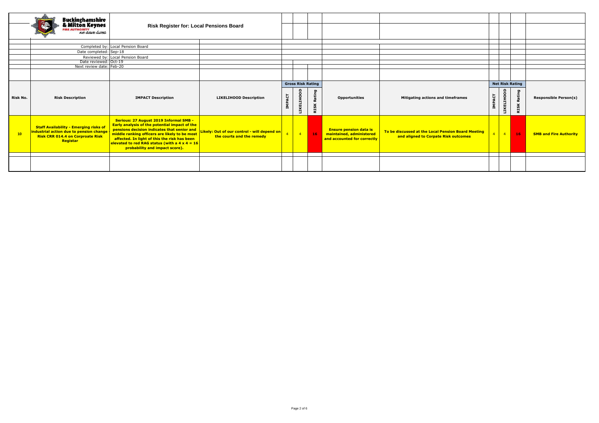|          | Buckinghamshire<br>& Milton Keynes<br><b>REAUTHORITY</b><br>RE AUTHORITY                                                                        | <b>Risk Register for: Local Pensions Board</b>                                                                                                                                                                                                                                                                                    |                                                                          |                  |                          |                       |                                                                                          |                                                                                            |                |                        |                       |                               |
|----------|-------------------------------------------------------------------------------------------------------------------------------------------------|-----------------------------------------------------------------------------------------------------------------------------------------------------------------------------------------------------------------------------------------------------------------------------------------------------------------------------------|--------------------------------------------------------------------------|------------------|--------------------------|-----------------------|------------------------------------------------------------------------------------------|--------------------------------------------------------------------------------------------|----------------|------------------------|-----------------------|-------------------------------|
|          |                                                                                                                                                 |                                                                                                                                                                                                                                                                                                                                   |                                                                          |                  |                          |                       |                                                                                          |                                                                                            |                |                        |                       |                               |
|          |                                                                                                                                                 | Completed by: Local Pension Board                                                                                                                                                                                                                                                                                                 |                                                                          |                  |                          |                       |                                                                                          |                                                                                            |                |                        |                       |                               |
|          | Date completed: Sep-18                                                                                                                          |                                                                                                                                                                                                                                                                                                                                   |                                                                          |                  |                          |                       |                                                                                          |                                                                                            |                |                        |                       |                               |
|          | Date reviewed: Oct-19                                                                                                                           | Reviewed by: Local Pension Board                                                                                                                                                                                                                                                                                                  |                                                                          |                  |                          |                       |                                                                                          |                                                                                            |                |                        |                       |                               |
|          | Next review date: Feb-20                                                                                                                        |                                                                                                                                                                                                                                                                                                                                   |                                                                          |                  |                          |                       |                                                                                          |                                                                                            |                |                        |                       |                               |
|          |                                                                                                                                                 |                                                                                                                                                                                                                                                                                                                                   |                                                                          |                  |                          |                       |                                                                                          |                                                                                            |                |                        |                       |                               |
|          |                                                                                                                                                 |                                                                                                                                                                                                                                                                                                                                   |                                                                          |                  |                          |                       |                                                                                          |                                                                                            |                |                        |                       |                               |
|          |                                                                                                                                                 |                                                                                                                                                                                                                                                                                                                                   |                                                                          |                  | <b>Gross Risk Rating</b> |                       |                                                                                          |                                                                                            |                | <b>Net Risk Rating</b> |                       |                               |
| Risk No. | <b>Risk Description</b>                                                                                                                         | <b>IMPACT Description</b>                                                                                                                                                                                                                                                                                                         | <b>LIKELIHOOD Description</b>                                            | <b>PACT</b><br>Ã | <b>IKELIHOOD</b>         | Rating<br><b>RISK</b> | <b>Opportunities</b>                                                                     | Mitigating actions and timeframes                                                          | <b>IMPACT</b>  | <b>LIKELIHOOD</b>      | Rating<br><b>RISK</b> | <b>Responsible Person(s)</b>  |
| 10       | <b>Staff Availability - Emerging risks of</b><br>industrial action due to pension change<br><b>Risk CRR 014.4 on Corproate Risk</b><br>Registar | <b>Serious: 27 August 2019 Informal SMB -</b><br>Early analysis of the potential impact of the<br>pensions decision indicates that senior and<br>middle ranking officers are likely to be most<br>affected. In light of this the risk has been<br>elevated to red RAG status (with a 4 x 4 = 16<br>probability and impact score). | Likely: Out of our control - will depend on<br>the courts and the remedy |                  | $-4$                     | 16                    | <b>Ensure pension data is</b><br>maintained, administered<br>and accounted for correctly | To be discussed at the Local Pension Board Meeting<br>and aligned to Corpate Risk outcomes | $\overline{4}$ | $\overline{4}$         | 16                    | <b>SMB and Fire Authority</b> |
|          |                                                                                                                                                 |                                                                                                                                                                                                                                                                                                                                   |                                                                          |                  |                          |                       |                                                                                          |                                                                                            |                |                        |                       |                               |
|          |                                                                                                                                                 |                                                                                                                                                                                                                                                                                                                                   |                                                                          |                  |                          |                       |                                                                                          |                                                                                            |                |                        |                       |                               |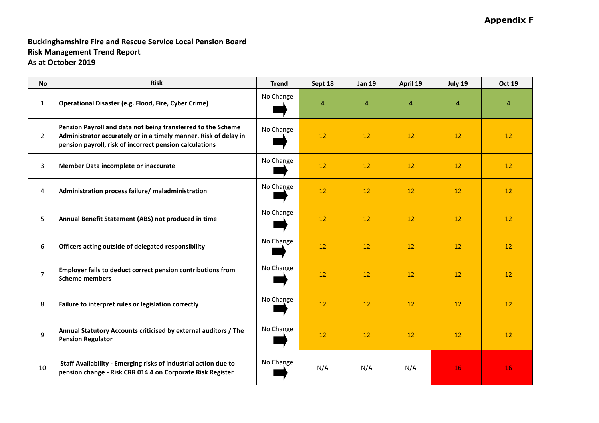# **Appendix F**

# **Buckinghamshire Fire and Rescue Service Local Pension Board Risk Management Trend Report As at October 2019**

| <b>No</b>      | <b>Risk</b>                                                                                                                                                                                 | <b>Trend</b> | Sept 18         | <b>Jan 19</b>   | April 19       | July 19        | <b>Oct 19</b>   |
|----------------|---------------------------------------------------------------------------------------------------------------------------------------------------------------------------------------------|--------------|-----------------|-----------------|----------------|----------------|-----------------|
| $\mathbf{1}$   | Operational Disaster (e.g. Flood, Fire, Cyber Crime)                                                                                                                                        | No Change    | 4               | 4               | $\overline{4}$ | $\overline{a}$ | 4               |
| $\overline{2}$ | Pension Payroll and data not being transferred to the Scheme<br>Administrator accurately or in a timely manner. Risk of delay in<br>pension payroll, risk of incorrect pension calculations | No Change    | 12              | 12              | 12             | 12             | 12              |
| 3              | Member Data incomplete or inaccurate                                                                                                                                                        | No Change    | 12              | 12              | 12             | 12             | 12 <sup>2</sup> |
| $\overline{4}$ | Administration process failure/ maladministration                                                                                                                                           | No Change    | 12 <sup>2</sup> | 12              | 12             | 12             | 12 <sup>2</sup> |
| 5              | Annual Benefit Statement (ABS) not produced in time                                                                                                                                         | No Change    | 12 <sup>2</sup> | 12              | 12             | 12             | 12              |
| 6              | Officers acting outside of delegated responsibility                                                                                                                                         | No Change    | 12              | 12 <sup>2</sup> | 12             | 12             | 12              |
| $\overline{7}$ | Employer fails to deduct correct pension contributions from<br><b>Scheme members</b>                                                                                                        | No Change    | 12              | 12              | 12             | 12             | 12              |
| 8              | Failure to interpret rules or legislation correctly                                                                                                                                         | No Change    | 12              | 12              | 12             | 12             | 12 <sup>2</sup> |
| 9              | Annual Statutory Accounts criticised by external auditors / The<br><b>Pension Regulator</b>                                                                                                 | No Change    | 12              | 12              | 12             | 12             | 12              |
| 10             | Staff Availability - Emerging risks of industrial action due to<br>pension change - Risk CRR 014.4 on Corporate Risk Register                                                               | No Change    | N/A             | N/A             | N/A            | 16             | 16              |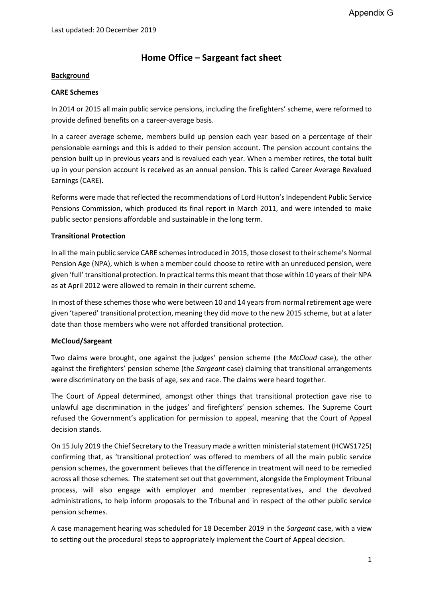# **Home Office – Sargeant fact sheet**

# **Background**

# **CARE Schemes**

In 2014 or 2015 all main public service pensions, including the firefighters' scheme, were reformed to provide defined benefits on a career-average basis.

In a career average scheme, members build up pension each year based on a percentage of their pensionable earnings and this is added to their pension account. The pension account contains the pension built up in previous years and is revalued each year. When a member retires, the total built up in your pension account is received as an annual pension. This is called Career Average Revalued Earnings (CARE).

Reforms were made that reflected the recommendations of Lord Hutton's Independent Public Service Pensions Commission, which produced its final report in March 2011, and were intended to make public sector pensions affordable and sustainable in the long term.

# **Transitional Protection**

In all the main public service CARE schemes introduced in 2015, those closest to their scheme's Normal Pension Age (NPA), which is when a member could choose to retire with an unreduced pension, were given 'full' transitional protection. In practical terms this meant that those within 10 years of their NPA as at April 2012 were allowed to remain in their current scheme.

In most of these schemes those who were between 10 and 14 years from normal retirement age were given 'tapered' transitional protection, meaning they did move to the new 2015 scheme, but at a later date than those members who were not afforded transitional protection.

# **McCloud/Sargeant**

Two claims were brought, one against the judges' pension scheme (the *McCloud* case), the other against the firefighters' pension scheme (the *Sargeant* case) claiming that transitional arrangements were discriminatory on the basis of age, sex and race. The claims were heard together.

The Court of Appeal determined, amongst other things that transitional protection gave rise to unlawful age discrimination in the judges' and firefighters' pension schemes. The Supreme Court refused the Government's application for permission to appeal, meaning that the Court of Appeal decision stands.

On 15 July 2019 the Chief Secretary to the Treasury made a written ministerial statement (HCWS1725) confirming that, as 'transitional protection' was offered to members of all the main public service pension schemes, the government believes that the difference in treatment will need to be remedied across all those schemes. The statement set out that government, alongside the Employment Tribunal process, will also engage with employer and member representatives, and the devolved administrations, to help inform proposals to the Tribunal and in respect of the other public service pension schemes.

A case management hearing was scheduled for 18 December 2019 in the *Sargeant* case, with a view to setting out the procedural steps to appropriately implement the Court of Appeal decision.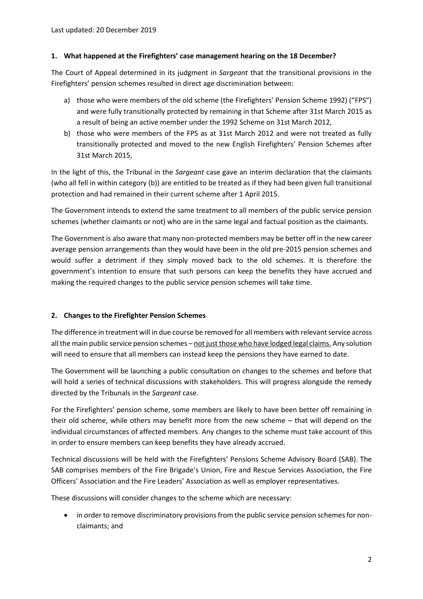# **1. What happened at the Firefighters' case management hearing on the 18 December?**

The Court of Appeal determined in its judgment in *Sargeant* that the transitional provisions in the Firefighters' pension schemes resulted in direct age discrimination between:

- a) those who were members of the old scheme (the Firefighters' Pension Scheme 1992) ("FPS") and were fully transitionally protected by remaining in that Scheme after 31st March 2015 as a result of being an active member under the 1992 Scheme on 31st March 2012,
- b) those who were members of the FPS as at 31st March 2012 and were not treated as fully transitionally protected and moved to the new English Firefighters' Pension Schemes after 31st March 2015,

In the light of this, the Tribunal in the *Sargeant* case gave an interim declaration that the claimants (who all fell in within category (b)) are entitled to be treated as if they had been given full transitional protection and had remained in their current scheme after 1 April 2015.

The Government intends to extend the same treatment to all members of the public service pension schemes (whether claimants or not) who are in the same legal and factual position as the claimants.

The Government is also aware that many non-protected members may be better off in the new career average pension arrangements than they would have been in the old pre-2015 pension schemes and would suffer a detriment if they simply moved back to the old schemes. It is therefore the government's intention to ensure that such persons can keep the benefits they have accrued and making the required changes to the public service pension schemes will take time.

# **2. Changes to the Firefighter Pension Schemes**

The difference in treatment will in due course be removed for all members with relevant service across all the main public service pension schemes – not just those who have lodged legal claims. Any solution will need to ensure that all members can instead keep the pensions they have earned to date.

The Government will be launching a public consultation on changes to the schemes and before that will hold a series of technical discussions with stakeholders. This will progress alongside the remedy directed by the Tribunals in the *Sargeant* case.

For the Firefighters' pension scheme, some members are likely to have been better off remaining in their old scheme, while others may benefit more from the new scheme – that will depend on the individual circumstances of affected members. Any changes to the scheme must take account of this in order to ensure members can keep benefits they have already accrued.

Technical discussions will be held with the Firefighters' Pensions Scheme Advisory Board (SAB). The SAB comprises members of the Fire Brigade's Union, Fire and Rescue Services Association, the Fire Officers' Association and the Fire Leaders' Association as well as employer representatives.

These discussions will consider changes to the scheme which are necessary:

 in order to remove discriminatory provisions from the public service pension schemes for nonclaimants; and